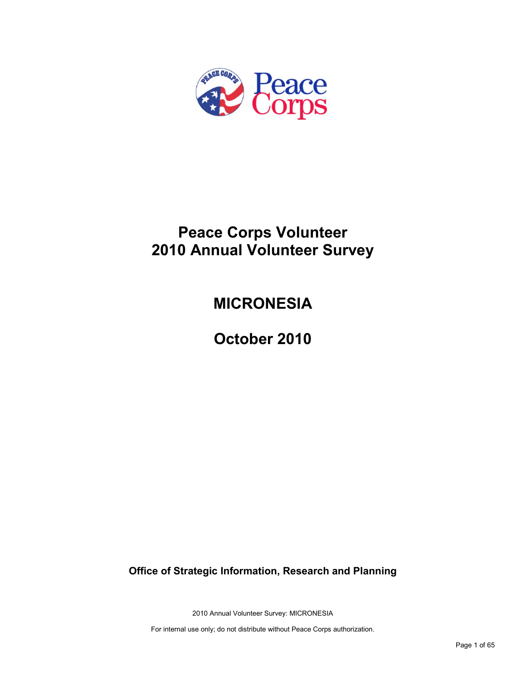

# **Peace Corps Volunteer 2010 Annual Volunteer Survey**

# **MICRONESIA**

**October 2010**

**Office of Strategic Information, Research and Planning**

2010 Annual Volunteer Survey: MICRONESIA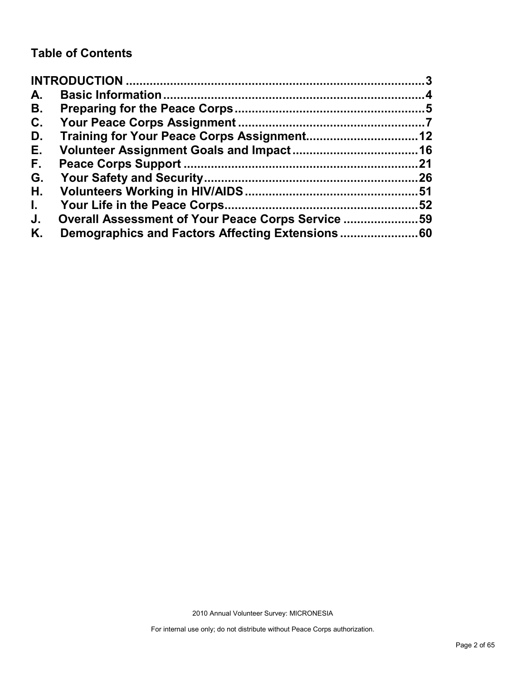## **Table of Contents**

| A.           |                                                   |     |
|--------------|---------------------------------------------------|-----|
| В.           |                                                   |     |
| C.           |                                                   |     |
| D.           |                                                   |     |
| Е.           |                                                   |     |
| F.           |                                                   | .21 |
| G.           |                                                   |     |
| Н.           |                                                   |     |
| $\mathbf{L}$ |                                                   | 52  |
| J.           | Overall Assessment of Your Peace Corps Service 59 |     |
| Κ.           |                                                   |     |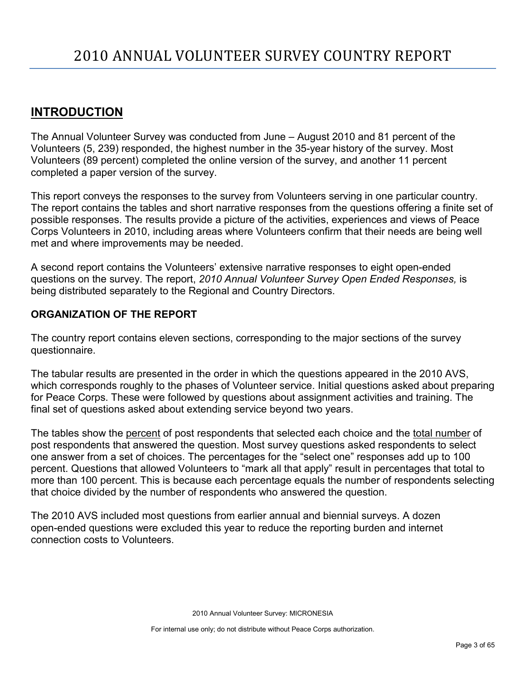## <span id="page-2-0"></span>**INTRODUCTION**

The Annual Volunteer Survey was conducted from June – August 2010 and 81 percent of the Volunteers (5, 239) responded, the highest number in the 35-year history of the survey. Most Volunteers (89 percent) completed the online version of the survey, and another 11 percent completed a paper version of the survey.

This report conveys the responses to the survey from Volunteers serving in one particular country. The report contains the tables and short narrative responses from the questions offering a finite set of possible responses. The results provide a picture of the activities, experiences and views of Peace Corps Volunteers in 2010, including areas where Volunteers confirm that their needs are being well met and where improvements may be needed.

A second report contains the Volunteers' extensive narrative responses to eight open-ended questions on the survey. The report, *2010 Annual Volunteer Survey Open Ended Responses,* is being distributed separately to the Regional and Country Directors.

## **ORGANIZATION OF THE REPORT**

The country report contains eleven sections, corresponding to the major sections of the survey questionnaire.

The tabular results are presented in the order in which the questions appeared in the 2010 AVS, which corresponds roughly to the phases of Volunteer service. Initial questions asked about preparing for Peace Corps. These were followed by questions about assignment activities and training. The final set of questions asked about extending service beyond two years.

The tables show the percent of post respondents that selected each choice and the total number of post respondents that answered the question. Most survey questions asked respondents to select one answer from a set of choices. The percentages for the "select one" responses add up to 100 percent. Questions that allowed Volunteers to "mark all that apply" result in percentages that total to more than 100 percent. This is because each percentage equals the number of respondents selecting that choice divided by the number of respondents who answered the question.

The 2010 AVS included most questions from earlier annual and biennial surveys. A dozen open-ended questions were excluded this year to reduce the reporting burden and internet connection costs to Volunteers.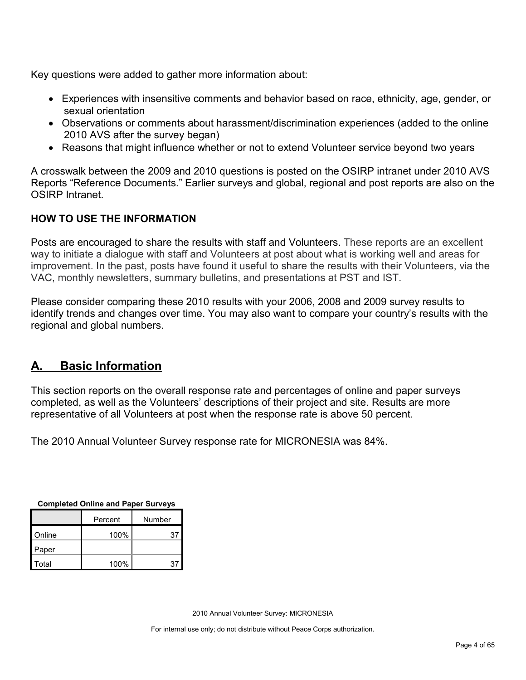Key questions were added to gather more information about:

- Experiences with insensitive comments and behavior based on race, ethnicity, age, gender, or sexual orientation
- Observations or comments about harassment/discrimination experiences (added to the online 2010 AVS after the survey began)
- Reasons that might influence whether or not to extend Volunteer service beyond two years

A crosswalk between the 2009 and 2010 questions is posted on the OSIRP intranet under 2010 AVS Reports "Reference Documents." Earlier surveys and global, regional and post reports are also on the OSIRP Intranet.

## **HOW TO USE THE INFORMATION**

Posts are encouraged to share the results with staff and Volunteers. These reports are an excellent way to initiate a dialogue with staff and Volunteers at post about what is working well and areas for improvement. In the past, posts have found it useful to share the results with their Volunteers, via the VAC, monthly newsletters, summary bulletins, and presentations at PST and IST.

Please consider comparing these 2010 results with your 2006, 2008 and 2009 survey results to identify trends and changes over time. You may also want to compare your country's results with the regional and global numbers.

## <span id="page-3-0"></span>**A. Basic Information**

This section reports on the overall response rate and percentages of online and paper surveys completed, as well as the Volunteers' descriptions of their project and site. Results are more representative of all Volunteers at post when the response rate is above 50 percent.

The 2010 Annual Volunteer Survey response rate for MICRONESIA was 84%.

| Completed Online and Paper Surveys |         |    |  |  |  |
|------------------------------------|---------|----|--|--|--|
|                                    | Percent |    |  |  |  |
| Online                             | 100%    | 37 |  |  |  |
| Paper                              |         |    |  |  |  |
| Total                              | 100%    | 37 |  |  |  |

**Completed Online and Paper Surveys**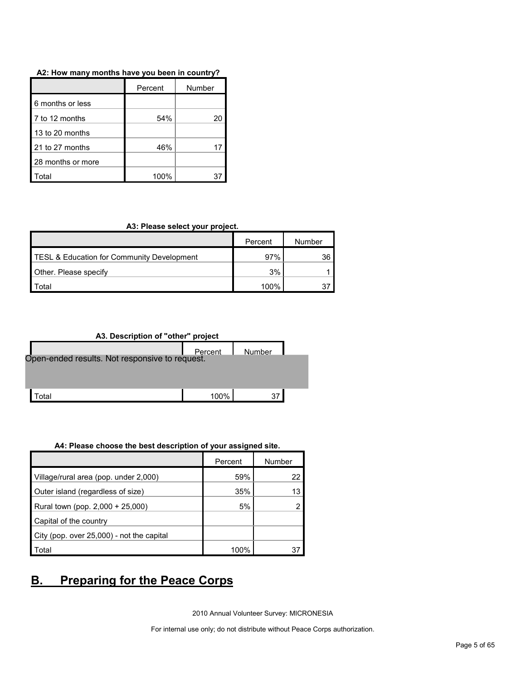#### **A2: How many months have you been in country?**

|                   | Percent | Number |
|-------------------|---------|--------|
| 6 months or less  |         |        |
| 7 to 12 months    | 54%     | 20     |
| 13 to 20 months   |         |        |
| 21 to 27 months   | 46%     |        |
| 28 months or more |         |        |
| ʻotal             | 100%    |        |

#### **A3: Please select your project.**

|                                            | Percent | Number |
|--------------------------------------------|---------|--------|
| TESL & Education for Community Development | 97%     | 36 I   |
| Other. Please specify                      | 3%      |        |
| <sup>-</sup> otal                          | 100%    |        |

## **A3. Description of "other" project**

|                                                | Percent | Number |  |  |  |  |
|------------------------------------------------|---------|--------|--|--|--|--|
| Open-ended results. Not responsive to request. |         |        |  |  |  |  |
|                                                |         |        |  |  |  |  |
|                                                |         |        |  |  |  |  |
| otal                                           | $100\%$ | 37     |  |  |  |  |

#### **A4: Please choose the best description of your assigned site.**

|                                           | Percent | Number |
|-------------------------------------------|---------|--------|
| Village/rural area (pop. under 2,000)     | 59%     | 22     |
| Outer island (regardless of size)         | 35%     | 13     |
| Rural town (pop. 2,000 + 25,000)          | 5%      |        |
| Capital of the country                    |         |        |
| City (pop. over 25,000) - not the capital |         |        |
| Total                                     | 100%    |        |

## <span id="page-4-0"></span>**B. Preparing for the Peace Corps**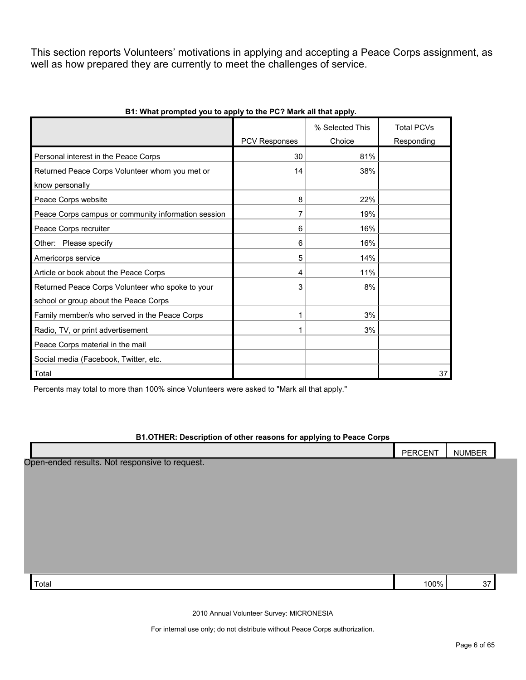This section reports Volunteers' motivations in applying and accepting a Peace Corps assignment, as well as how prepared they are currently to meet the challenges of service.

|                                                     |               | % Selected This | <b>Total PCVs</b> |
|-----------------------------------------------------|---------------|-----------------|-------------------|
|                                                     | PCV Responses | Choice          | Responding        |
| Personal interest in the Peace Corps                | 30            | 81%             |                   |
| Returned Peace Corps Volunteer whom you met or      | 14            | 38%             |                   |
| know personally                                     |               |                 |                   |
| Peace Corps website                                 | 8             | 22%             |                   |
| Peace Corps campus or community information session | 7             | 19%             |                   |
| Peace Corps recruiter                               | 6             | 16%             |                   |
| Other: Please specify                               | 6             | 16%             |                   |
| Americorps service                                  | 5             | 14%             |                   |
| Article or book about the Peace Corps               | 4             | 11%             |                   |
| Returned Peace Corps Volunteer who spoke to your    | 3             | 8%              |                   |
| school or group about the Peace Corps               |               |                 |                   |
| Family member/s who served in the Peace Corps       |               | 3%              |                   |
| Radio, TV, or print advertisement                   |               | 3%              |                   |
| Peace Corps material in the mail                    |               |                 |                   |
| Social media (Facebook, Twitter, etc.               |               |                 |                   |
| Total                                               |               |                 | 37                |

#### **B1: What prompted you to apply to the PC? Mark all that apply.**

Percents may total to more than 100% since Volunteers were asked to "Mark all that apply."

#### **B1.OTHER: Description of other reasons for applying to Peace Corps**

|                                                | PERCENT | <b>NUMBER</b> |  |
|------------------------------------------------|---------|---------------|--|
| Open-ended results. Not responsive to request. |         |               |  |
|                                                |         |               |  |
|                                                |         |               |  |
|                                                |         |               |  |
|                                                |         |               |  |
|                                                |         |               |  |
|                                                |         |               |  |
|                                                |         |               |  |
| Total                                          | 100%    | 37            |  |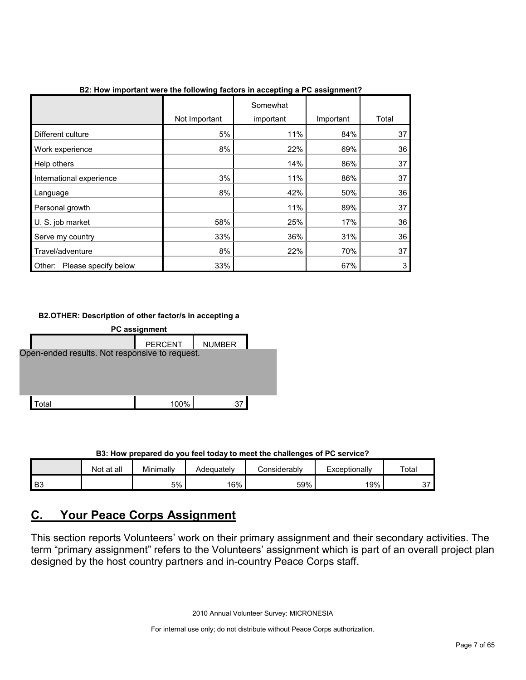|                                |               | Somewhat  |           |       |
|--------------------------------|---------------|-----------|-----------|-------|
|                                | Not Important | important | Important | Total |
| Different culture              | 5%            | 11%       | 84%       | 37    |
| Work experience                | 8%            | 22%       | 69%       | 36    |
| Help others                    |               | 14%       | 86%       | 37    |
| International experience       | 3%            | 11%       | 86%       | 37    |
| Language                       | 8%            | 42%       | 50%       | 36    |
| Personal growth                |               | 11%       | 89%       | 37    |
| U. S. job market               | 58%           | 25%       | 17%       | 36    |
| Serve my country               | 33%           | 36%       | 31%       | 36    |
| Travel/adventure               | 8%            | 22%       | 70%       | 37    |
| Please specify below<br>Other: | 33%           |           | 67%       | 3     |

**B2: How important were the following factors in accepting a PC assignment?**

## **B2.OTHER: Description of other factor/s in accepting a**



**B3: How prepared do you feel today to meet the challenges of PC service?**

|                | Not at all | Minimally | Adequately | onsiderablvٽ | Exceptionally | Total         |
|----------------|------------|-----------|------------|--------------|---------------|---------------|
| B <sub>3</sub> |            | 5%        | 16%        | 59%          | 19%           | $\sim$<br>، ب |

## <span id="page-6-0"></span>**C. Your Peace Corps Assignment**

This section reports Volunteers' work on their primary assignment and their secondary activities. The term "primary assignment" refers to the Volunteers' assignment which is part of an overall project plan designed by the host country partners and in-country Peace Corps staff.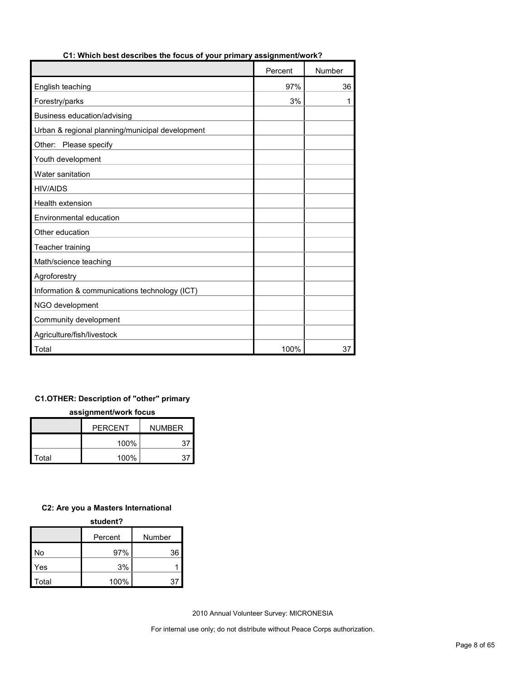|                                                 | Percent | Number |
|-------------------------------------------------|---------|--------|
| English teaching                                | 97%     | 36     |
| Forestry/parks                                  | 3%      | 1      |
| Business education/advising                     |         |        |
| Urban & regional planning/municipal development |         |        |
| Other: Please specify                           |         |        |
| Youth development                               |         |        |
| Water sanitation                                |         |        |
| <b>HIV/AIDS</b>                                 |         |        |
| Health extension                                |         |        |
| Environmental education                         |         |        |
| Other education                                 |         |        |
| Teacher training                                |         |        |
| Math/science teaching                           |         |        |
| Agroforestry                                    |         |        |
| Information & communications technology (ICT)   |         |        |
| NGO development                                 |         |        |
| Community development                           |         |        |
| Agriculture/fish/livestock                      |         |        |
| Total                                           | 100%    | 37     |

## **C1: Which best describes the focus of your primary assignment/work?**

## **C1.OTHER: Description of "other" primary**

**assignment/work focus**

|       | <b>PERCENT</b> | <b>NUMBER</b> |
|-------|----------------|---------------|
|       | 100%           | 37            |
| Total | 100%           |               |

#### **C2: Are you a Masters International**

#### **student?**

|       | Percent | Number |
|-------|---------|--------|
| No    | 97%     | 36     |
| Yes   | 3%      |        |
| Total | 100%    | 37     |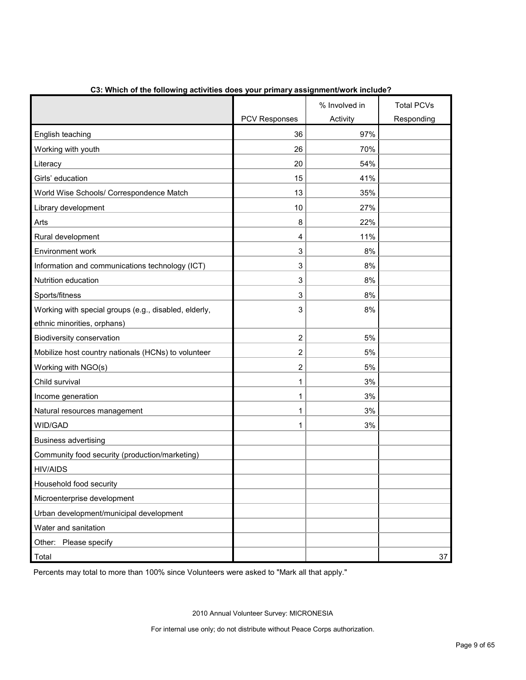|                                                       |                      | % Involved in | <b>Total PCVs</b> |
|-------------------------------------------------------|----------------------|---------------|-------------------|
|                                                       | <b>PCV Responses</b> | Activity      | Responding        |
| English teaching                                      | 36                   | 97%           |                   |
| Working with youth                                    | 26                   | 70%           |                   |
| Literacy                                              | 20                   | 54%           |                   |
| Girls' education                                      | 15                   | 41%           |                   |
| World Wise Schools/ Correspondence Match              | 13                   | 35%           |                   |
| Library development                                   | 10                   | 27%           |                   |
| Arts                                                  | 8                    | 22%           |                   |
| Rural development                                     | 4                    | 11%           |                   |
| Environment work                                      | 3                    | 8%            |                   |
| Information and communications technology (ICT)       | 3                    | 8%            |                   |
| Nutrition education                                   | 3                    | 8%            |                   |
| Sports/fitness                                        | 3                    | 8%            |                   |
| Working with special groups (e.g., disabled, elderly, | 3                    | 8%            |                   |
| ethnic minorities, orphans)                           |                      |               |                   |
| Biodiversity conservation                             | $\overline{2}$       | 5%            |                   |
| Mobilize host country nationals (HCNs) to volunteer   | 2                    | 5%            |                   |
| Working with NGO(s)                                   | 2                    | 5%            |                   |
| Child survival                                        | 1                    | 3%            |                   |
| Income generation                                     | 1                    | 3%            |                   |
| Natural resources management                          | 1                    | 3%            |                   |
| WID/GAD                                               | 1                    | 3%            |                   |
| <b>Business advertising</b>                           |                      |               |                   |
| Community food security (production/marketing)        |                      |               |                   |
| <b>HIV/AIDS</b>                                       |                      |               |                   |
| Household food security                               |                      |               |                   |
| Microenterprise development                           |                      |               |                   |
| Urban development/municipal development               |                      |               |                   |
| Water and sanitation                                  |                      |               |                   |
| Other: Please specify                                 |                      |               |                   |
| Total                                                 |                      |               | 37                |

**C3: Which of the following activities does your primary assignment/work include?**

Percents may total to more than 100% since Volunteers were asked to "Mark all that apply."

2010 Annual Volunteer Survey: MICRONESIA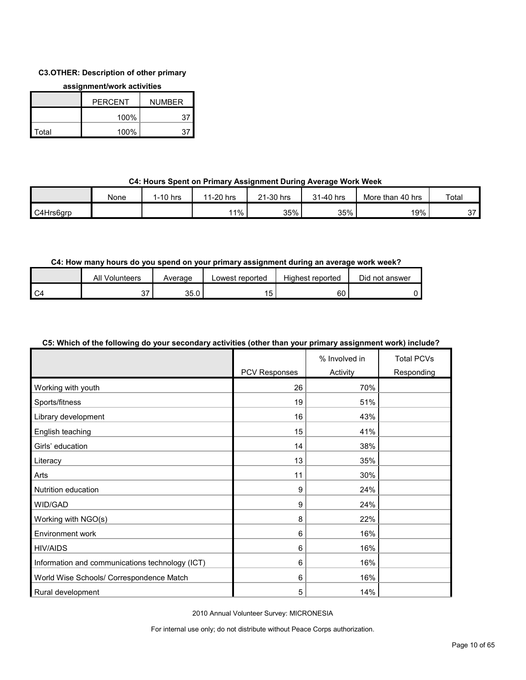## **C3.OTHER: Description of other primary**

#### **assignment/work activities**

|       | <b>PFRCFNT</b> | <b>NUMBER</b> |  |
|-------|----------------|---------------|--|
|       | 100%           | 37            |  |
| Total | 100%           | 37            |  |

## **C4: Hours Spent on Primary Assignment During Average Work Week**

|           | None | $1-10$ hrs | 1-20 hrs<br>-44 | ∠1-30 hrs | 31-40 hrs | More than 40 hrs | Total          |
|-----------|------|------------|-----------------|-----------|-----------|------------------|----------------|
| C4Hrs6grp |      |            | 11%             | 35%       | 35%       | 19%              | $\sim$<br>ັບ ເ |

## **C4: How many hours do you spend on your primary assignment during an average work week?**

|    | All<br>Volunteers | Average | Lowest reported | Highest reported | Did not answer |
|----|-------------------|---------|-----------------|------------------|----------------|
| C4 |                   | 35.0    |                 | 60               |                |

## **C5: Which of the following do your secondary activities (other than your primary assignment work) include?**

|                                                 |               | % Involved in | <b>Total PCVs</b> |
|-------------------------------------------------|---------------|---------------|-------------------|
|                                                 | PCV Responses | Activity      | Responding        |
| Working with youth                              | 26            | 70%           |                   |
| Sports/fitness                                  | 19            | 51%           |                   |
| Library development                             | 16            | 43%           |                   |
| English teaching                                | 15            | 41%           |                   |
| Girls' education                                | 14            | 38%           |                   |
| Literacy                                        | 13            | 35%           |                   |
| Arts                                            | 11            | 30%           |                   |
| Nutrition education                             | 9             | 24%           |                   |
| WID/GAD                                         | 9             | 24%           |                   |
| Working with NGO(s)                             | 8             | 22%           |                   |
| Environment work                                | 6             | 16%           |                   |
| <b>HIV/AIDS</b>                                 | 6             | 16%           |                   |
| Information and communications technology (ICT) | 6             | 16%           |                   |
| World Wise Schools/ Correspondence Match        | 6             | 16%           |                   |
| Rural development                               | 5             | 14%           |                   |

2010 Annual Volunteer Survey: MICRONESIA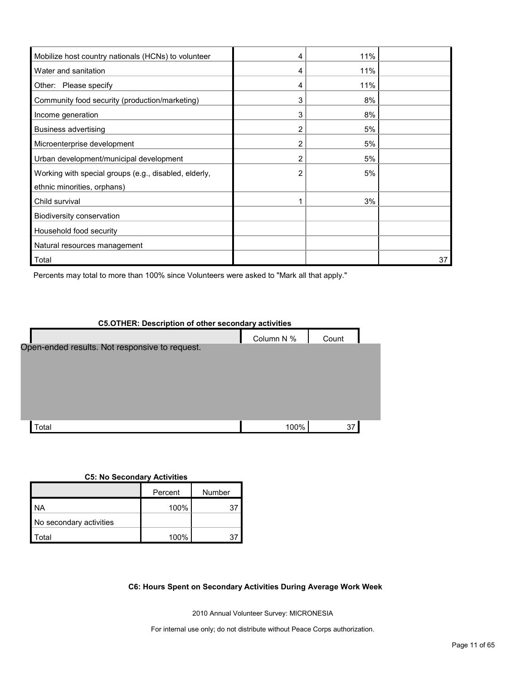| Mobilize host country nationals (HCNs) to volunteer   | 4 | 11% |    |
|-------------------------------------------------------|---|-----|----|
| Water and sanitation                                  | 4 | 11% |    |
| Other: Please specify                                 | 4 | 11% |    |
| Community food security (production/marketing)        | 3 | 8%  |    |
| Income generation                                     | 3 | 8%  |    |
| <b>Business advertising</b>                           | 2 | 5%  |    |
| Microenterprise development                           |   | 5%  |    |
| Urban development/municipal development               | 2 | 5%  |    |
| Working with special groups (e.g., disabled, elderly, |   | 5%  |    |
| ethnic minorities, orphans)                           |   |     |    |
| Child survival                                        |   | 3%  |    |
| Biodiversity conservation                             |   |     |    |
| Household food security                               |   |     |    |
| Natural resources management                          |   |     |    |
| Total                                                 |   |     | 37 |

Percents may total to more than 100% since Volunteers were asked to "Mark all that apply."

| <b>C5.OTHER: Description of other secondary activities</b> |            |       |  |  |  |  |
|------------------------------------------------------------|------------|-------|--|--|--|--|
|                                                            | Column N % | Count |  |  |  |  |
| Open-ended results. Not responsive to request.             |            |       |  |  |  |  |
|                                                            |            |       |  |  |  |  |
|                                                            |            |       |  |  |  |  |
|                                                            |            |       |  |  |  |  |
|                                                            |            |       |  |  |  |  |
|                                                            |            |       |  |  |  |  |
| Total                                                      | 100%       | 37    |  |  |  |  |

#### **C5: No Secondary Activities**

|                         | Percent | Number |
|-------------------------|---------|--------|
| NA                      | 100%    | 31     |
| No secondary activities |         |        |
| ʻotal                   | 100%    |        |

**C6: Hours Spent on Secondary Activities During Average Work Week**

2010 Annual Volunteer Survey: MICRONESIA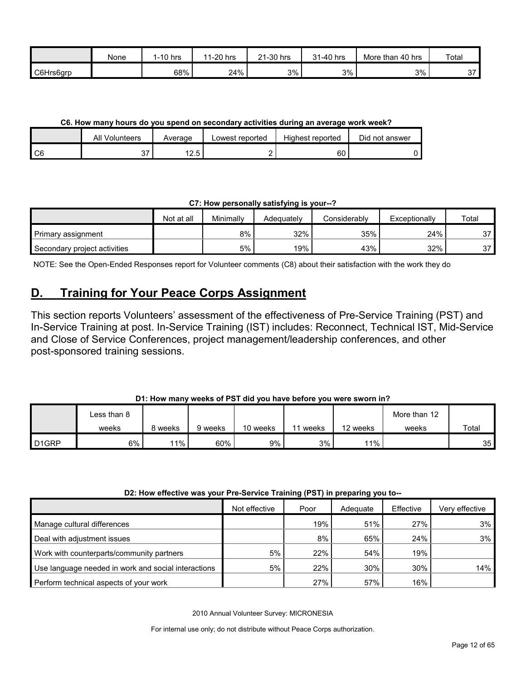|           | None | $1-10$ hrs | 1-20 hrs<br>44 | 21-30 hrs | $-40$ hrs<br><b>O</b> 4 | More than 40 hrs | Total              |
|-----------|------|------------|----------------|-----------|-------------------------|------------------|--------------------|
| C6Hrs6grp |      | 68%        | 24%            | 3%        | 3%                      | 3%               | $\sim$<br><b>J</b> |

**C6. How many hours do you spend on secondary activities during an average work week?**

|    | All<br>Volunteers | Average    | Lowest reported | Highest reported | Did not answer |
|----|-------------------|------------|-----------------|------------------|----------------|
| C6 | ∼                 | 10<br>ں. ے |                 | 60               |                |

**C7: How personally satisfying is your--?**

|                              | Not at all | Minimally | Adequately | Considerably | Exceptionally | Total     |
|------------------------------|------------|-----------|------------|--------------|---------------|-----------|
| Primary assignment           |            | 8%        | 32%        | 35%          | 24%           | 27<br>، ب |
| Secondary project activities |            | 5%        | 19%        | 43%          | 32%           | 27<br>ິ   |

NOTE: See the Open-Ended Responses report for Volunteer comments (C8) about their satisfaction with the work they do

## <span id="page-11-0"></span>**D. Training for Your Peace Corps Assignment**

This section reports Volunteers' assessment of the effectiveness of Pre-Service Training (PST) and In-Service Training at post. In-Service Training (IST) includes: Reconnect, Technical IST, Mid-Service and Close of Service Conferences, project management/leadership conferences, and other post-sponsored training sessions.

## **D1: How many weeks of PST did you have before you were sworn in?**

|                    | ∟ess than 8 |         |         |          |                                   |          | More than 12 |       |
|--------------------|-------------|---------|---------|----------|-----------------------------------|----------|--------------|-------|
|                    | weeks       | weeks » | 9 weeks | 10 weeks | $\overline{\phantom{a}}$<br>weeks | 12 weeks | weeks        | Total |
| D <sub>1</sub> GRP | 6%          | 11%     | 60%     | 9%       | 3%                                | $11\%$   |              | 35    |

#### **D2: How effective was your Pre-Service Training (PST) in preparing you to--**

|                                                     | Not effective | Poor | Adequate | Effective | Very effective |
|-----------------------------------------------------|---------------|------|----------|-----------|----------------|
| Manage cultural differences                         |               | 19%  | 51%      | 27%       | 3%             |
| Deal with adjustment issues                         |               | 8%   | 65%      | 24%       | 3%             |
| Work with counterparts/community partners           | 5%            | 22%  | 54%      | 19%       |                |
| Use language needed in work and social interactions | 5%            | 22%  | 30%      | 30%       | 14%            |
| Perform technical aspects of your work              |               | 27%  | 57%      | 16%       |                |

2010 Annual Volunteer Survey: MICRONESIA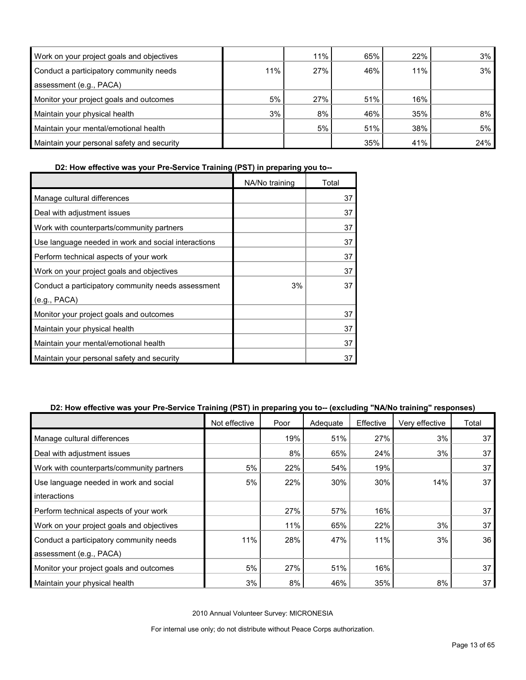| Work on your project goals and objectives  |     | 11% | 65% | 22% | 3%  |
|--------------------------------------------|-----|-----|-----|-----|-----|
| Conduct a participatory community needs    | 11% | 27% | 46% | 11% | 3%  |
| assessment (e.g., PACA)                    |     |     |     |     |     |
| Monitor your project goals and outcomes    | 5%  | 27% | 51% | 16% |     |
| Maintain your physical health              | 3%  | 8%  | 46% | 35% | 8%  |
| Maintain your mental/emotional health      |     | 5%  | 51% | 38% | 5%  |
| Maintain your personal safety and security |     |     | 35% | 41% | 24% |

## **D2: How effective was your Pre-Service Training (PST) in preparing you to--**

|                                                     | NA/No training | Total |
|-----------------------------------------------------|----------------|-------|
| Manage cultural differences                         |                | 37    |
| Deal with adjustment issues                         |                | 37    |
| Work with counterparts/community partners           |                | 37    |
| Use language needed in work and social interactions |                | 37    |
| Perform technical aspects of your work              |                | 37    |
| Work on your project goals and objectives           |                | 37    |
| Conduct a participatory community needs assessment  | 3%             | 37    |
| (e.g., PACA)                                        |                |       |
| Monitor your project goals and outcomes             |                | 37    |
| Maintain your physical health                       |                | 37    |
| Maintain your mental/emotional health               |                | 37    |
| Maintain your personal safety and security          |                | 37    |

## **D2: How effective was your Pre-Service Training (PST) in preparing you to-- (excluding "NA/No training" responses)**

|                                           | Not effective | Poor | Adequate | Effective | Very effective | Total |
|-------------------------------------------|---------------|------|----------|-----------|----------------|-------|
| Manage cultural differences               |               | 19%  | 51%      | 27%       | 3%             | 37    |
| Deal with adjustment issues               |               | 8%   | 65%      | 24%       | 3%             | 37    |
| Work with counterparts/community partners | 5%            | 22%  | 54%      | 19%       |                | 37    |
| Use language needed in work and social    | 5%            | 22%  | 30%      | 30%       | 14%            | 37    |
| interactions                              |               |      |          |           |                |       |
| Perform technical aspects of your work    |               | 27%  | 57%      | 16%       |                | 37    |
| Work on your project goals and objectives |               | 11%  | 65%      | 22%       | 3%             | 37    |
| Conduct a participatory community needs   | 11%           | 28%  | 47%      | 11%       | 3%             | 36    |
| assessment (e.g., PACA)                   |               |      |          |           |                |       |
| Monitor your project goals and outcomes   | 5%            | 27%  | 51%      | 16%       |                | 37    |
| Maintain your physical health             | 3%            | 8%   | 46%      | 35%       | 8%             | 37    |

2010 Annual Volunteer Survey: MICRONESIA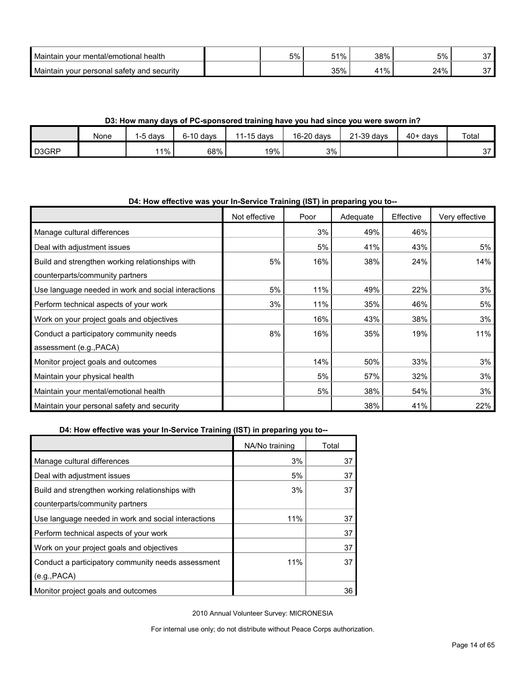| <b>Maintain</b><br>n vour mental/emotional health | 5% | 51% | 38%   | 5%  | $\sim$ $-$ |
|---------------------------------------------------|----|-----|-------|-----|------------|
| Maintain<br>i your personal safety and security   |    | 35% | $1\%$ | 24% | ~-         |

**D3: How many days of PC-sponsored training have you had since you were sworn in?**

|       | None | 5 days  | $6-10$ days | $1-15$ days<br>44 | 16-20 days | 21-39 days | $40+ days$ | Total  |
|-------|------|---------|-------------|-------------------|------------|------------|------------|--------|
| D3GRP |      | $1\%$ . | 68%         | 19%               | 3%         |            |            | $\sim$ |

## **D4: How effective was your In-Service Training (IST) in preparing you to--**

|                                                     | Not effective | Poor | Adequate | Effective | Very effective |
|-----------------------------------------------------|---------------|------|----------|-----------|----------------|
| Manage cultural differences                         |               | 3%   | 49%      | 46%       |                |
| Deal with adjustment issues                         |               | 5%   | 41%      | 43%       | 5%             |
| Build and strengthen working relationships with     | 5%            | 16%  | 38%      | 24%       | 14%            |
| counterparts/community partners                     |               |      |          |           |                |
| Use language needed in work and social interactions | 5%            | 11%  | 49%      | 22%       | 3%             |
| Perform technical aspects of your work              | 3%            | 11%  | 35%      | 46%       | 5%             |
| Work on your project goals and objectives           |               | 16%  | 43%      | 38%       | 3%             |
| Conduct a participatory community needs             | 8%            | 16%  | 35%      | 19%       | 11%            |
| assessment (e.g., PACA)                             |               |      |          |           |                |
| Monitor project goals and outcomes                  |               | 14%  | 50%      | 33%       | 3%             |
| Maintain your physical health                       |               | 5%   | 57%      | 32%       | 3%             |
| Maintain your mental/emotional health               |               | 5%   | 38%      | 54%       | 3%             |
| Maintain your personal safety and security          |               |      | 38%      | 41%       | 22%            |

|                                                     | NA/No training | Total |
|-----------------------------------------------------|----------------|-------|
| Manage cultural differences                         | 3%             | 37    |
| Deal with adjustment issues                         | 5%             | 37    |
| Build and strengthen working relationships with     | 3%             | 37    |
| counterparts/community partners                     |                |       |
| Use language needed in work and social interactions | 11%            | 37    |
| Perform technical aspects of your work              |                | 37    |
| Work on your project goals and objectives           |                | 37    |
| Conduct a participatory community needs assessment  | 11%            | 37    |
| (e.g., PACA)                                        |                |       |
| Monitor project goals and outcomes                  |                | 36    |

2010 Annual Volunteer Survey: MICRONESIA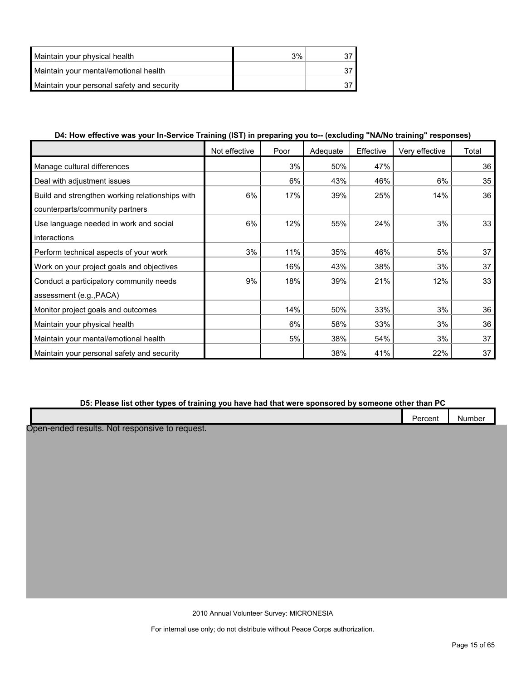| Maintain your physical health              | 3% |  |
|--------------------------------------------|----|--|
| Maintain your mental/emotional health      |    |  |
| Maintain your personal safety and security |    |  |

## **D4: How effective was your In-Service Training (IST) in preparing you to-- (excluding "NA/No training" responses)**

|                                                 | Not effective | Poor | Adequate | Effective | Very effective | Total |
|-------------------------------------------------|---------------|------|----------|-----------|----------------|-------|
| Manage cultural differences                     |               | 3%   | 50%      | 47%       |                | 36    |
| Deal with adjustment issues                     |               | 6%   | 43%      | 46%       | 6%             | 35    |
| Build and strengthen working relationships with | 6%            | 17%  | 39%      | 25%       | 14%            | 36    |
| counterparts/community partners                 |               |      |          |           |                |       |
| Use language needed in work and social          | 6%            | 12%  | 55%      | 24%       | 3%             | 33    |
| interactions                                    |               |      |          |           |                |       |
| Perform technical aspects of your work          | 3%            | 11%  | 35%      | 46%       | 5%             | 37    |
| Work on your project goals and objectives       |               | 16%  | 43%      | 38%       | 3%             | 37    |
| Conduct a participatory community needs         | 9%            | 18%  | 39%      | 21%       | 12%            | 33    |
| assessment (e.g., PACA)                         |               |      |          |           |                |       |
| Monitor project goals and outcomes              |               | 14%  | 50%      | 33%       | 3%             | 36    |
| Maintain your physical health                   |               | 6%   | 58%      | 33%       | 3%             | 36    |
| Maintain your mental/emotional health           |               | 5%   | 38%      | 54%       | 3%             | 37    |
| Maintain your personal safety and security      |               |      | 38%      | 41%       | 22%            | 37    |

#### **D5: Please list other types of training you have had that were sponsored by someone other than PC**

| $\sim$<br>Percent<br>- - - - - - | Number |  |
|----------------------------------|--------|--|
|                                  |        |  |

Open-ended results. Not responsive to request.

2010 Annual Volunteer Survey: MICRONESIA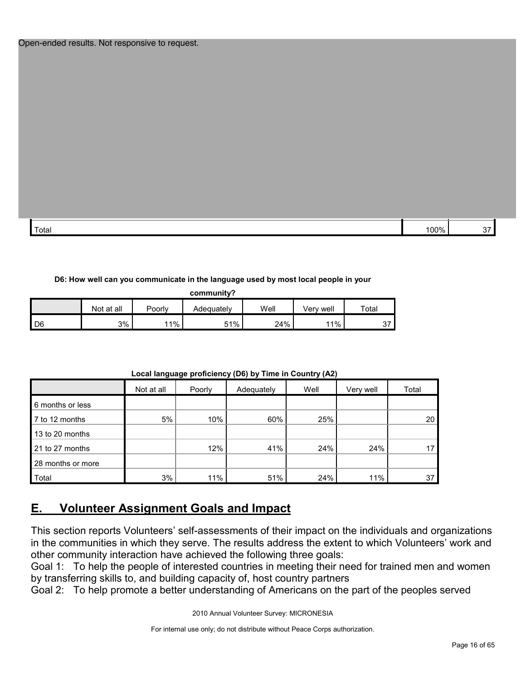| Total | . <b>.</b> .<br>חר<br>$v_{\alpha}$ |  |
|-------|------------------------------------|--|
|       |                                    |  |

#### **D6: How well can you communicate in the language used by most local people in your**

**community?**

|     | Not at all | Poorly | Adequately | Well | Verv well | Total         |
|-----|------------|--------|------------|------|-----------|---------------|
| ID6 | 3%         | ່ 1%   | 51%        | 24%  | 11%       | $\sim$<br>ູບ، |

|                   | Not at all | Poorly | Adequately | Well |     | Total |
|-------------------|------------|--------|------------|------|-----|-------|
| 6 months or less  |            |        |            |      |     |       |
| 7 to 12 months    | 5%         | 10%    | 60%        | 25%  |     | 20    |
| 13 to 20 months   |            |        |            |      |     |       |
| 21 to 27 months   |            | 12%    | 41%        | 24%  | 24% |       |
| 28 months or more |            |        |            |      |     |       |
| Total             | 3%         | 11%    | 51%        | 24%  | 11% | 37    |

#### **Local language proficiency (D6) by Time in Country (A2)**

## <span id="page-15-0"></span>**E. Volunteer Assignment Goals and Impact**

This section reports Volunteers' self-assessments of their impact on the individuals and organizations in the communities in which they serve. The results address the extent to which Volunteers' work and other community interaction have achieved the following three goals:

Goal 1: To help the people of interested countries in meeting their need for trained men and women by transferring skills to, and building capacity of, host country partners

Goal 2: To help promote a better understanding of Americans on the part of the peoples served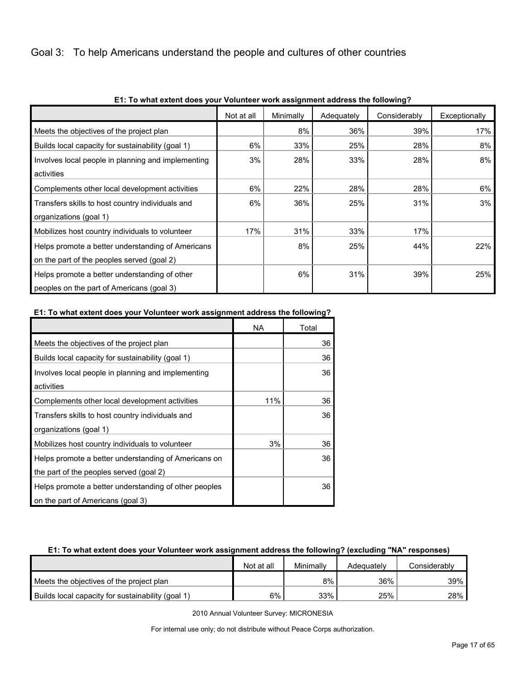## Goal 3: To help Americans understand the people and cultures of other countries

|                                                    | Not at all | Minimally | Adequately | Considerably | Exceptionally |
|----------------------------------------------------|------------|-----------|------------|--------------|---------------|
| Meets the objectives of the project plan           |            | 8%        | 36%        | 39%          | 17%           |
| Builds local capacity for sustainability (goal 1)  | 6%         | 33%       | 25%        | 28%          | 8%            |
| Involves local people in planning and implementing | 3%         | 28%       | 33%        | 28%          | 8%            |
| activities                                         |            |           |            |              |               |
| Complements other local development activities     | 6%         | 22%       | 28%        | 28%          | 6%            |
| Transfers skills to host country individuals and   | 6%         | 36%       | 25%        | 31%          | 3%            |
| organizations (goal 1)                             |            |           |            |              |               |
| Mobilizes host country individuals to volunteer    | 17%        | 31%       | 33%        | 17%          |               |
| Helps promote a better understanding of Americans  |            | 8%        | 25%        | 44%          | 22%           |
| on the part of the peoples served (goal 2)         |            |           |            |              |               |
| Helps promote a better understanding of other      |            | 6%        | 31%        | 39%          | 25%           |
| peoples on the part of Americans (goal 3)          |            |           |            |              |               |

### **E1: To what extent does your Volunteer work assignment address the following?**

#### **E1: To what extent does your Volunteer work assignment address the following?**

|                                                       | <b>NA</b> | Total |
|-------------------------------------------------------|-----------|-------|
| Meets the objectives of the project plan              |           | 36    |
| Builds local capacity for sustainability (goal 1)     |           | 36    |
| Involves local people in planning and implementing    |           | 36    |
| activities                                            |           |       |
| Complements other local development activities        | 11%       | 36    |
| Transfers skills to host country individuals and      |           | 36    |
| organizations (goal 1)                                |           |       |
| Mobilizes host country individuals to volunteer       | 3%        | 36    |
| Helps promote a better understanding of Americans on  |           | 36    |
| the part of the peoples served (goal 2)               |           |       |
| Helps promote a better understanding of other peoples |           | 36    |
| on the part of Americans (goal 3)                     |           |       |

#### **E1: To what extent does your Volunteer work assignment address the following? (excluding "NA" responses)**

|                                                   | Not at all | Minimally | Adequately | Considerably |
|---------------------------------------------------|------------|-----------|------------|--------------|
| Meets the objectives of the project plan          |            | 8%        | 36%        | 39% l        |
| Builds local capacity for sustainability (goal 1) | 6%         | 33%       | 25%        | 28%          |

2010 Annual Volunteer Survey: MICRONESIA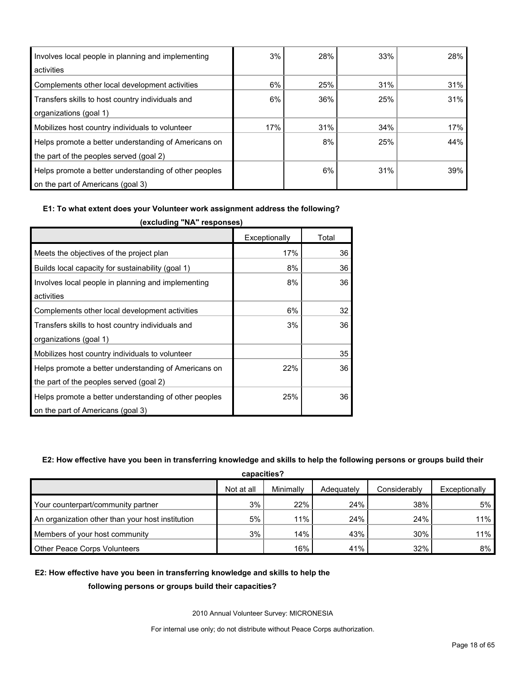| Involves local people in planning and implementing    | 3%  | 28% | 33% | 28% |
|-------------------------------------------------------|-----|-----|-----|-----|
| activities                                            |     |     |     |     |
| Complements other local development activities        | 6%  | 25% | 31% | 31% |
| Transfers skills to host country individuals and      | 6%  | 36% | 25% | 31% |
| organizations (goal 1)                                |     |     |     |     |
| Mobilizes host country individuals to volunteer       | 17% | 31% | 34% | 17% |
| Helps promote a better understanding of Americans on  |     | 8%  | 25% | 44% |
| the part of the peoples served (goal 2)               |     |     |     |     |
| Helps promote a better understanding of other peoples |     | 6%  | 31% | 39% |
| on the part of Americans (goal 3)                     |     |     |     |     |

#### **E1: To what extent does your Volunteer work assignment address the following?**

|                                                       | Exceptionally | Total |
|-------------------------------------------------------|---------------|-------|
| Meets the objectives of the project plan              | 17%           | 36    |
| Builds local capacity for sustainability (goal 1)     | 8%            | 36    |
| Involves local people in planning and implementing    | 8%            | 36    |
| activities                                            |               |       |
| Complements other local development activities        | 6%            | 32    |
| Transfers skills to host country individuals and      | 3%            | 36    |
| organizations (goal 1)                                |               |       |
| Mobilizes host country individuals to volunteer       |               | 35    |
| Helps promote a better understanding of Americans on  | 22%           | 36    |
| the part of the peoples served (goal 2)               |               |       |
| Helps promote a better understanding of other peoples | 25%           | 36    |
| on the part of Americans (goal 3)                     |               |       |

**(excluding "NA" responses)**

#### **E2: How effective have you been in transferring knowledge and skills to help the following persons or groups build their**

| capacities?                                      |            |           |            |              |               |  |  |
|--------------------------------------------------|------------|-----------|------------|--------------|---------------|--|--|
|                                                  | Not at all | Minimally | Adequately | Considerably | Exceptionally |  |  |
| Your counterpart/community partner               | 3%         | 22%       | 24%        | 38%          | 5%            |  |  |
| An organization other than your host institution | 5%         | 11%       | 24%        | 24%          | 11%           |  |  |
| Members of your host community                   | 3%         | 14%       | 43%        | 30%          | $11\%$        |  |  |
| Other Peace Corps Volunteers                     |            | 16%       | 41%        | 32%          | $8\%$         |  |  |

#### **E2: How effective have you been in transferring knowledge and skills to help the**

#### **following persons or groups build their capacities?**

2010 Annual Volunteer Survey: MICRONESIA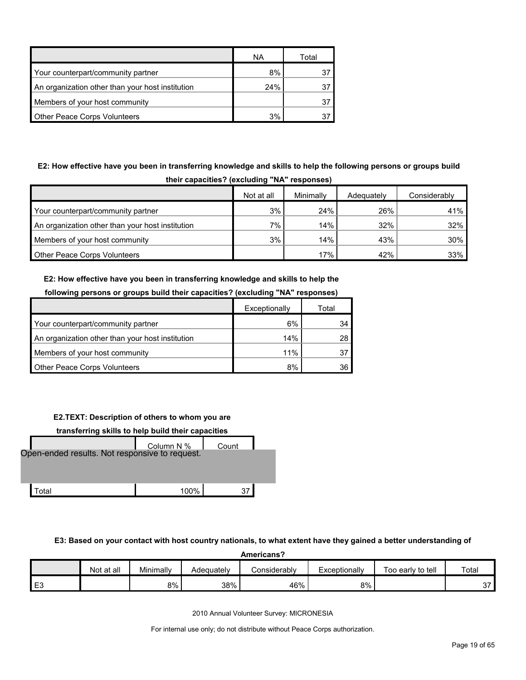|                                                  | ΝA  | Total |
|--------------------------------------------------|-----|-------|
| Your counterpart/community partner               | 8%  | 37    |
| An organization other than your host institution | 24% | 37    |
| Members of your host community                   |     | 37    |
| <b>Other Peace Corps Volunteers</b>              | 3%  |       |

## **E2: How effective have you been in transferring knowledge and skills to help the following persons or groups build their capacities? (excluding "NA" responses)**

|                                                  | Not at all | Minimally | Adequately | Considerably |  |  |  |  |
|--------------------------------------------------|------------|-----------|------------|--------------|--|--|--|--|
| Your counterpart/community partner               | 3%         | 24%       | 26%        | 41%          |  |  |  |  |
| An organization other than your host institution | $7\%$      | 14%       | 32%        | $32\%$       |  |  |  |  |
| Members of your host community                   | 3%         | 14%       | 43%        | $30\%$       |  |  |  |  |
| Other Peace Corps Volunteers                     |            | 17%       | 42%        | 33%          |  |  |  |  |

## **E2: How effective have you been in transferring knowledge and skills to help the following persons or groups build their capacities? (excluding "NA" responses)**

|                                                  | Exceptionally | Total |
|--------------------------------------------------|---------------|-------|
| Your counterpart/community partner               | 6%            | 34.   |
| An organization other than your host institution | 14%           | 28.   |
| Members of your host community                   | 11%           |       |
| <b>Other Peace Corps Volunteers</b>              | 8%            | 36    |

## **E2.TEXT: Description of others to whom you are**



#### **E3: Based on your contact with host country nationals, to what extent have they gained a better understanding of**

|                | Americans? |           |            |              |               |                   |        |  |  |
|----------------|------------|-----------|------------|--------------|---------------|-------------------|--------|--|--|
|                | Not at all | Minimally | Adequately | Considerablv | Exceptionally | Too early to tell | Total  |  |  |
| E <sub>3</sub> |            | 8%        | 38%        | 46%          | 8%            |                   | $\sim$ |  |  |

2010 Annual Volunteer Survey: MICRONESIA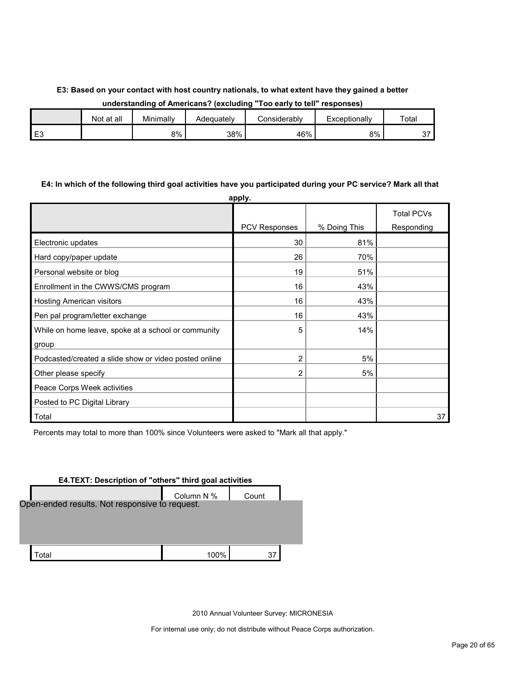## **E3: Based on your contact with host country nationals, to what extent have they gained a better understanding of Americans? (excluding "Too early to tell" responses)**

|          | Not at all | Minimally | Adequately | <b>Considerably</b> | Exceptionallv | Total    |
|----------|------------|-----------|------------|---------------------|---------------|----------|
| F٩<br>∟ບ |            | 8%        | 38%        | 46%                 | 8%            | n 7<br>ັ |

#### **E4: In which of the following third goal activities have you participated during your PC service? Mark all that**

|                                                       | apply.        |              |                   |
|-------------------------------------------------------|---------------|--------------|-------------------|
|                                                       |               |              | <b>Total PCVs</b> |
|                                                       | PCV Responses | % Doing This | Responding        |
| Electronic updates                                    | 30            | 81%          |                   |
| Hard copy/paper update                                | 26            | 70%          |                   |
| Personal website or blog                              | 19            | 51%          |                   |
| Enrollment in the CWWS/CMS program                    | 16            | 43%          |                   |
| Hosting American visitors                             | 16            | 43%          |                   |
| Pen pal program/letter exchange                       | 16            | 43%          |                   |
| While on home leave, spoke at a school or community   | 5             | 14%          |                   |
| group                                                 |               |              |                   |
| Podcasted/created a slide show or video posted online | 2             | 5%           |                   |
| Other please specify                                  | 2             | 5%           |                   |
| Peace Corps Week activities                           |               |              |                   |
| Posted to PC Digital Library                          |               |              |                   |
| Total                                                 |               |              | 37                |

Percents may total to more than 100% since Volunteers were asked to "Mark all that apply."

| <b>E4.TEXT: Description of "others" third goal activities</b> |            |       |  |
|---------------------------------------------------------------|------------|-------|--|
|                                                               | Column N % | Count |  |
| Open-ended results. Not responsive to request.                |            |       |  |
|                                                               |            |       |  |
|                                                               |            |       |  |
|                                                               |            |       |  |
| ∩ta                                                           | 100%       |       |  |

2010 Annual Volunteer Survey: MICRONESIA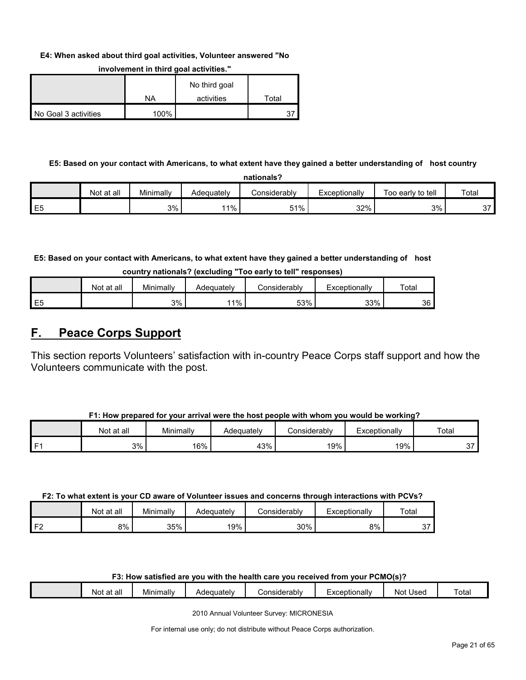#### **E4: When asked about third goal activities, Volunteer answered "No**

|                      |      | No third goal |       |
|----------------------|------|---------------|-------|
|                      | ΝA   | activities    | Total |
| No Goal 3 activities | 100% |               | 27    |

#### **involvement in third goal activities."**

## **E5: Based on your contact with Americans, to what extent have they gained a better understanding of host country**

| nationals?     |            |           |            |              |               |                   |       |  |  |
|----------------|------------|-----------|------------|--------------|---------------|-------------------|-------|--|--|
|                | Not at all | Minimally | Adequatelv | Considerably | Exceptionally | Too early to tell | Total |  |  |
| E <sub>5</sub> |            | 3%        | $1\%$      | 51%          | 32%           | 3%                | 27    |  |  |

**E5: Based on your contact with Americans, to what extent have they gained a better understanding of host** 

| country nationals? (excluding "Too early to tell" responses) |  |  |  |  |  |  |
|--------------------------------------------------------------|--|--|--|--|--|--|
|--------------------------------------------------------------|--|--|--|--|--|--|

|                | Not at all | Minimally | Adequately | こonsiderablv | Exceptionallv | $\tau$ <sub>otal</sub> |
|----------------|------------|-----------|------------|--------------|---------------|------------------------|
| E <sub>5</sub> |            | 3%        | 11%        | 53%          | 33%           | 36                     |

## <span id="page-20-0"></span>**F. Peace Corps Support**

This section reports Volunteers' satisfaction with in-country Peace Corps staff support and how the Volunteers communicate with the post.

|      | Not at all | Minimally | Adequately | Considerabl∨ | Exceptionallv | Total  |
|------|------------|-----------|------------|--------------|---------------|--------|
| l F1 | 3%         | 16%       | 43%        | 19%          | 19%           | $\sim$ |

#### **F2: To what extent is your CD aware of Volunteer issues and concerns through interactions with PCVs?**

|                  | Not at all | Minimally | Adequatelv | ≿onsiderablv | Exceptionally | Total           |
|------------------|------------|-----------|------------|--------------|---------------|-----------------|
| 1 F^<br><u>.</u> | 8%         | 35%       | 19%        | 30%          | 8%            | $\sim$ $-$<br>ັ |

## **F3: How satisfied are you with the health care you received from your PCMO(s)?**

|  |  | all<br>$\sim$<br>Not<br>a | .<br>Mınımallv | Adequately | Considerably | -<br>Exceptionally | Jsed<br>Not | otal |
|--|--|---------------------------|----------------|------------|--------------|--------------------|-------------|------|
|--|--|---------------------------|----------------|------------|--------------|--------------------|-------------|------|

2010 Annual Volunteer Survey: MICRONESIA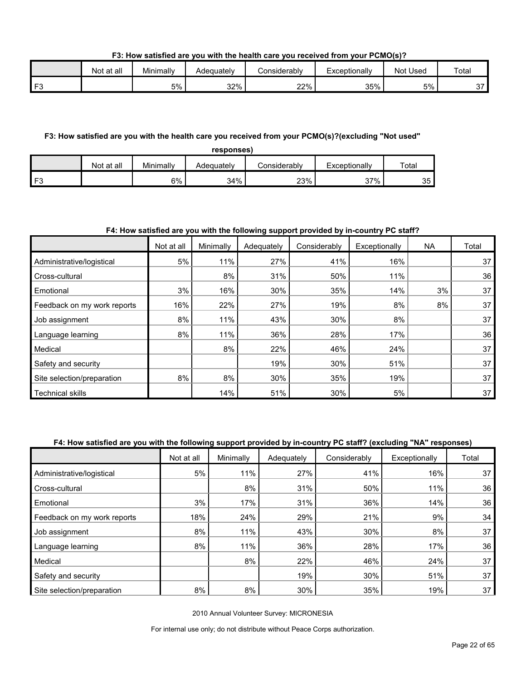**F3: How satisfied are you with the health care you received from your PCMO(s)?**

|          | Not at all | Minimally | Adequatelv | Considerabl∨ | Exceptionally | Used<br>Not | Total           |
|----------|------------|-----------|------------|--------------|---------------|-------------|-----------------|
| $\Gamma$ |            | 5%        | 32%        | 22%          | 35%           | 5%          | $\sim$ $-$<br>ັ |

#### **F3: How satisfied are you with the health care you received from your PCMO(s)?(excluding "Not used"**

**responses)**

|                 | Not at all | Minimally | Adeɑuatelv | :onsiderablv | Exceptionally | Total |
|-----------------|------------|-----------|------------|--------------|---------------|-------|
| IF <sub>3</sub> |            | 6%        | 34%        | 23%          | 37%<br>ິ      | 35    |

## **F4: How satisfied are you with the following support provided by in-country PC staff?**

|                             | Not at all | Minimally | Adequately | Considerably | Exceptionally | <b>NA</b> | Total |
|-----------------------------|------------|-----------|------------|--------------|---------------|-----------|-------|
| Administrative/logistical   | 5%         | 11%       | 27%        | 41%          | 16%           |           | 37    |
| Cross-cultural              |            | 8%        | 31%        | 50%          | 11%           |           | 36    |
| Emotional                   | 3%         | 16%       | 30%        | 35%          | 14%           | 3%        | 37    |
| Feedback on my work reports | 16%        | 22%       | 27%        | 19%          | 8%            | 8%        | 37    |
| Job assignment              | 8%         | 11%       | 43%        | 30%          | 8%            |           | 37    |
| Language learning           | 8%         | 11%       | 36%        | 28%          | 17%           |           | 36    |
| Medical                     |            | 8%        | 22%        | 46%          | 24%           |           | 37    |
| Safety and security         |            |           | 19%        | 30%          | 51%           |           | 37    |
| Site selection/preparation  | 8%         | 8%        | 30%        | 35%          | 19%           |           | 37    |
| <b>Technical skills</b>     |            | 14%       | 51%        | 30%          | 5%            |           | 37    |

## **F4: How satisfied are you with the following support provided by in-country PC staff? (excluding "NA" responses)**

|                             | Not at all | Minimally | Adequately | Considerably | Exceptionally | Total |
|-----------------------------|------------|-----------|------------|--------------|---------------|-------|
| Administrative/logistical   | 5%         | 11%       | 27%        | 41%          | 16%           | 37    |
| Cross-cultural              |            | 8%        | 31%        | 50%          | 11%           | 36    |
| Emotional                   | 3%         | 17%       | 31%        | 36%          | 14%           | 36    |
| Feedback on my work reports | 18%        | 24%       | 29%        | 21%          | 9%            | 34    |
| Job assignment              | 8%         | 11%       | 43%        | 30%          | 8%            | 37    |
| Language learning           | 8%         | 11%       | 36%        | 28%          | 17%           | 36    |
| Medical                     |            | 8%        | 22%        | 46%          | 24%           | 37    |
| Safety and security         |            |           | 19%        | 30%          | 51%           | 37    |
| Site selection/preparation  | 8%         | 8%        | 30%        | 35%          | 19%           | 37    |

2010 Annual Volunteer Survey: MICRONESIA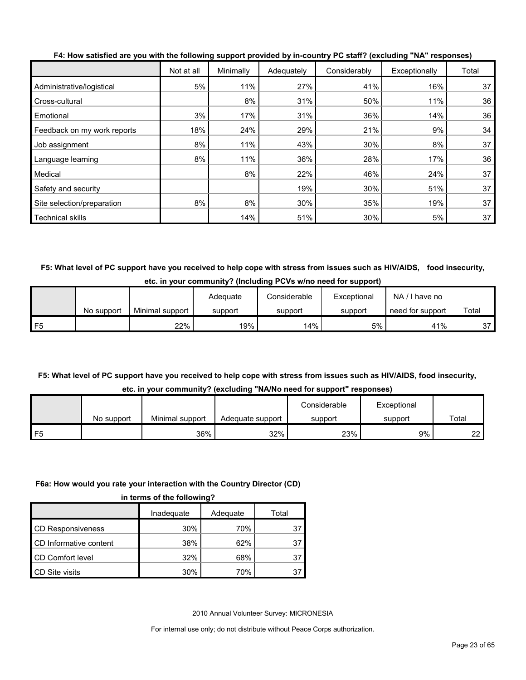|                             | Not at all | Minimally | Adequately | Considerably | Exceptionally | Total |
|-----------------------------|------------|-----------|------------|--------------|---------------|-------|
| Administrative/logistical   | 5%         | 11%       | 27%        | 41%          | 16%           | 37    |
| Cross-cultural              |            | 8%        | 31%        | 50%          | 11%           | 36    |
| Emotional                   | 3%         | 17%       | 31%        | 36%          | 14%           | 36    |
| Feedback on my work reports | 18%        | 24%       | 29%        | 21%          | 9%            | 34    |
| Job assignment              | 8%         | 11%       | 43%        | 30%          | 8%            | 37    |
| Language learning           | 8%         | 11%       | 36%        | 28%          | 17%           | 36    |
| Medical                     |            | 8%        | 22%        | 46%          | 24%           | 37    |
| Safety and security         |            |           | 19%        | 30%          | 51%           | 37    |
| Site selection/preparation  | 8%         | 8%        | 30%        | 35%          | 19%           | 37    |
| <b>Technical skills</b>     |            | 14%       | 51%        | 30%          | 5%            | 37    |

**F4: How satisfied are you with the following support provided by in-country PC staff? (excluding "NA" responses)**

**F5: What level of PC support have you received to help cope with stress from issues such as HIV/AIDS, food insecurity, etc. in your community? (Including PCVs w/no need for support)**

|     |            |                 | Adequate | Considerable | Exceptional | $NA / I$ have no |       |
|-----|------------|-----------------|----------|--------------|-------------|------------------|-------|
|     | No support | Minimal support | support  | support      | support     | need for support | Total |
| IF5 |            | 22%             | 19%      | 14%          | 5%          | 41%              | 37    |

## **F5: What level of PC support have you received to help cope with stress from issues such as HIV/AIDS, food insecurity, etc. in your community? (excluding "NA/No need for support" responses)**

|            |                 |                  | Considerable | Exceptional |       |  |
|------------|-----------------|------------------|--------------|-------------|-------|--|
| No support | Minimal support | Adequate support | support      | support     | Total |  |
|            | 36%             | 32%              | 23%          | 9%          | 22    |  |

## **F6a: How would you rate your interaction with the Country Director (CD)**

|  | in terms of the following? |  |
|--|----------------------------|--|
|  |                            |  |

|                          | Inadeguate | Adequate | Total |
|--------------------------|------------|----------|-------|
| <b>CD Responsiveness</b> | 30%        | 70%      |       |
| CD Informative content   | 38%        | 62%      | 37    |
| <b>CD Comfort level</b>  | 32%        | 68%      | 37    |
| CD Site visits           | 30%        | 70%      |       |

2010 Annual Volunteer Survey: MICRONESIA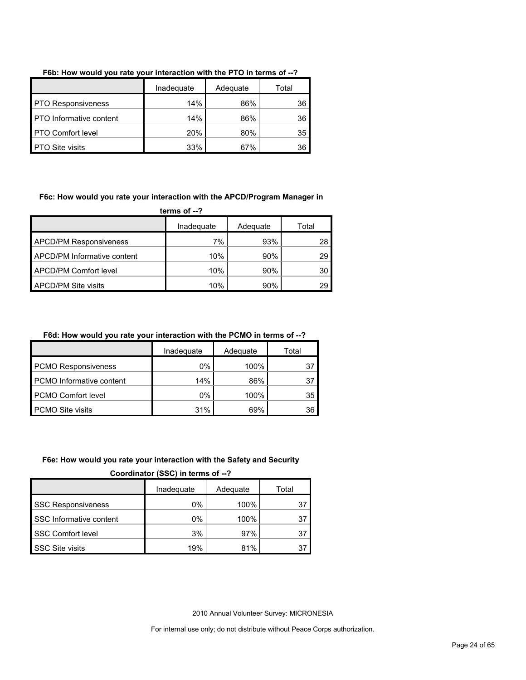|                                | Inadequate | Adequate | Total |
|--------------------------------|------------|----------|-------|
| <b>PTO Responsiveness</b>      | 14%        | 86%      | 36    |
| <b>PTO</b> Informative content | 14%        | 86%      | 36    |
| <b>PTO Comfort level</b>       | 20%        | 80%      | 35    |
| <b>PTO Site visits</b>         | 33%        | 67%      | 36    |

## **F6b: How would you rate your interaction with the PTO in terms of --?**

#### **F6c: How would you rate your interaction with the APCD/Program Manager in**

**terms of --?**

|                               | Inadequate | Adequate | Total |
|-------------------------------|------------|----------|-------|
| <b>APCD/PM Responsiveness</b> | 7%         | 93%      | 28    |
| APCD/PM Informative content   | 10%        | 90%      | 29    |
| APCD/PM Comfort level         | 10%        | 90%      | 30    |
| <b>APCD/PM Site visits</b>    | 10%        | 90%      | 29    |

## **F6d: How would you rate your interaction with the PCMO in terms of --?**

|                                 | Inadequate<br>Adequate |      | Total |  |
|---------------------------------|------------------------|------|-------|--|
| <b>PCMO Responsiveness</b>      | 0%                     | 100% | 37    |  |
| <b>PCMO</b> Informative content | 14%                    | 86%  | 37    |  |
| <b>PCMO Comfort level</b>       | 0%                     | 100% | 35    |  |
| <b>PCMO Site visits</b>         | 31%                    | 69%  | 36    |  |

#### **F6e: How would you rate your interaction with the Safety and Security**

**Coordinator (SSC) in terms of --?**

|                           | Inadequate | Adequate | Total |
|---------------------------|------------|----------|-------|
| <b>SSC Responsiveness</b> | $0\%$      | 100%     | 37    |
| SSC Informative content   | 0%         | 100%     |       |
| <b>SSC Comfort level</b>  | 3%         | 97%      |       |
| SSC Site visits           | 19%        | 81%      |       |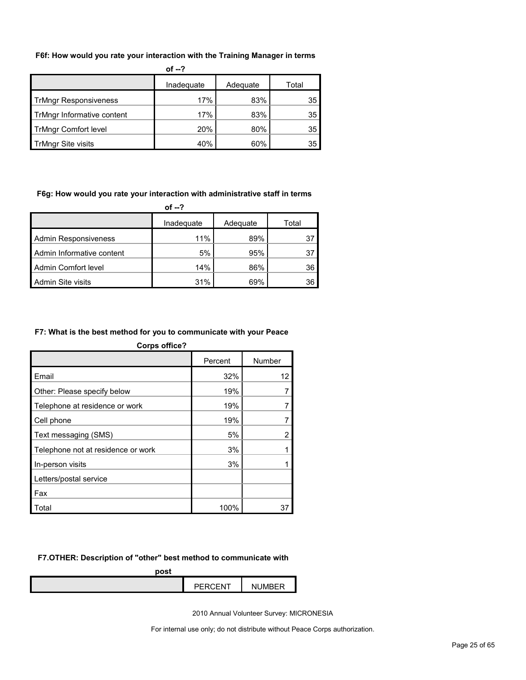#### **F6f: How would you rate your interaction with the Training Manager in terms**

| of $-2$                      |            |          |       |  |  |
|------------------------------|------------|----------|-------|--|--|
|                              | Inadequate | Adequate | Total |  |  |
| <b>TrMngr Responsiveness</b> | 17%        | 83%      | 35    |  |  |
| TrMngr Informative content   | 17%        | 83%      | 35    |  |  |
| <b>TrMngr Comfort level</b>  | 20%        | 80%      | 35    |  |  |
| <b>TrMngr Site visits</b>    | 40%        | 60%      | 35    |  |  |

#### **F6g: How would you rate your interaction with administrative staff in terms**

| of $-2$                     |            |          |       |  |
|-----------------------------|------------|----------|-------|--|
|                             | Inadequate | Adequate | Total |  |
| <b>Admin Responsiveness</b> | 11%        | 89%      | 37    |  |
| Admin Informative content   | 5%         | 95%      | 37    |  |
| Admin Comfort level         | 14%        | 86%      | 36    |  |
| <b>Admin Site visits</b>    | 31%        | 69%      | 36    |  |

#### **F7: What is the best method for you to communicate with your Peace**

| <b>Corps office?</b>               |         |                |  |  |  |  |
|------------------------------------|---------|----------------|--|--|--|--|
|                                    | Percent | Number         |  |  |  |  |
| Email                              | 32%     | 12             |  |  |  |  |
| Other: Please specify below        | 19%     |                |  |  |  |  |
| Telephone at residence or work     | 19%     |                |  |  |  |  |
| Cell phone                         | 19%     |                |  |  |  |  |
| Text messaging (SMS)               | 5%      | $\overline{2}$ |  |  |  |  |
| Telephone not at residence or work | 3%      |                |  |  |  |  |
| In-person visits                   | 3%      |                |  |  |  |  |
| Letters/postal service             |         |                |  |  |  |  |
| Fax                                |         |                |  |  |  |  |
| Total                              | 100%    | 37             |  |  |  |  |

## **F7.OTHER: Description of "other" best method to communicate with**

| post |                |          |
|------|----------------|----------|
|      | <b>PERCENT</b> | NI IMRER |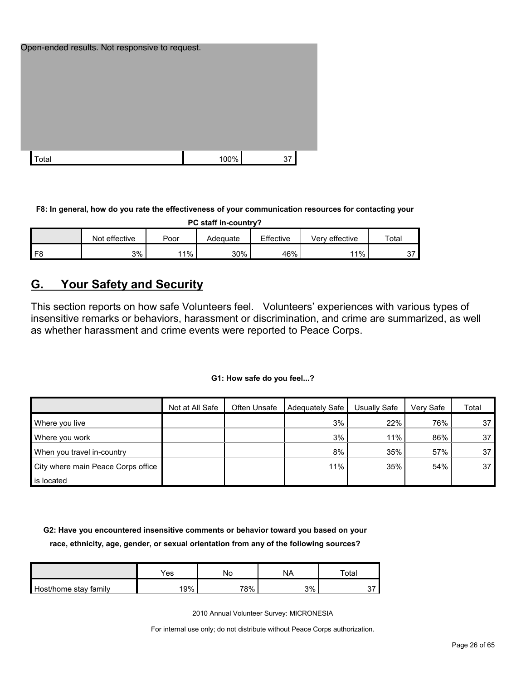| Open-ended results. Not responsive to request. |      |    |
|------------------------------------------------|------|----|
|                                                |      |    |
|                                                |      |    |
|                                                |      |    |
| Total                                          | 100% | 37 |

**F8: In general, how do you rate the effectiveness of your communication resources for contacting your** 

|  | PC staff in-country? |  |  |
|--|----------------------|--|--|
|--|----------------------|--|--|

|                | effective<br>Not | Poor | Adequate | Effective | Verv effective | Totai         |
|----------------|------------------|------|----------|-----------|----------------|---------------|
| F <sub>8</sub> | 3%               | ່ 1% | 30%      | 46%       | 11%            | $\sim$<br>, پ |

## <span id="page-25-0"></span>**G. Your Safety and Security**

This section reports on how safe Volunteers feel. Volunteers' experiences with various types of insensitive remarks or behaviors, harassment or discrimination, and crime are summarized, as well as whether harassment and crime events were reported to Peace Corps.

## **G1: How safe do you feel...?**

|                                    | Not at All Safe | Often Unsafe | Adequately Safe | Usually Safe | Verv Safe | Total |
|------------------------------------|-----------------|--------------|-----------------|--------------|-----------|-------|
| Where you live                     |                 |              | 3%              | 22%          | 76%       | 37    |
| Where you work                     |                 |              | 3%              | 11%          | 86%       | 37    |
| When you travel in-country         |                 |              | 8%              | 35%          | 57%       | 37    |
| City where main Peace Corps office |                 |              | 11%             | 35%          | 54%       | 37    |
| is located                         |                 |              |                 |              |           |       |

**G2: Have you encountered insensitive comments or behavior toward you based on your race, ethnicity, age, gender, or sexual orientation from any of the following sources?**

|                       | $\mathsf{v}_{\mathsf{es}}$ | Nс  | NA | Total |
|-----------------------|----------------------------|-----|----|-------|
| Host/home stay family | '9%                        | 78% | 3% |       |

2010 Annual Volunteer Survey: MICRONESIA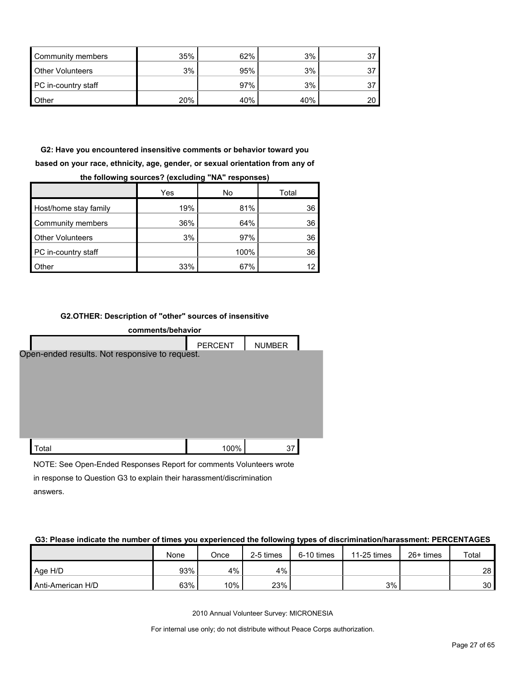| Community members       | 35% | 62% | 3%  |  |
|-------------------------|-----|-----|-----|--|
| <b>Other Volunteers</b> | 3%  | 95% | 3%  |  |
| PC in-country staff     |     | 97% | 3%  |  |
| <b>Other</b>            | 20% | 40% | 40% |  |

**G2: Have you encountered insensitive comments or behavior toward you based on your race, ethnicity, age, gender, or sexual orientation from any of the following sources? (excluding "NA" responses)**

|                         | Yes | No   | Total |
|-------------------------|-----|------|-------|
| Host/home stay family   | 19% | 81%  | 36    |
| Community members       | 36% | 64%  | 36    |
| <b>Other Volunteers</b> | 3%  | 97%  | 36    |
| PC in-country staff     |     | 100% | 36    |
| Other                   | 33% | 67%  |       |

#### **G2.OTHER: Description of "other" sources of insensitive**

| comments/behavior                                                   |                |               |  |  |  |  |  |  |
|---------------------------------------------------------------------|----------------|---------------|--|--|--|--|--|--|
|                                                                     | <b>PERCENT</b> | <b>NUMBER</b> |  |  |  |  |  |  |
| Open-ended results. Not responsive to request.                      |                |               |  |  |  |  |  |  |
| Total                                                               | 100%           | 37            |  |  |  |  |  |  |
| NOTE: See Open Ended Perpenses Penert for comments Volunteers wrote |                |               |  |  |  |  |  |  |

NOTE: See Open-Ended Responses Report for comments Volunteers wrote in response to Question G3 to explain their harassment/discrimination answers.

#### **G3: Please indicate the number of times you experienced the following types of discrimination/harassment: PERCENTAGES**

|                   | None | Once | 2-5 times | 6-10 times | 11-25 times | $26+$ times | Total           |
|-------------------|------|------|-----------|------------|-------------|-------------|-----------------|
| Age H/D           | 93%  | 4%   | 4%        |            |             |             | 28              |
| Anti-American H/D | 63%  | 10%  | 23%       |            | 3%          |             | 30 <sup>1</sup> |

2010 Annual Volunteer Survey: MICRONESIA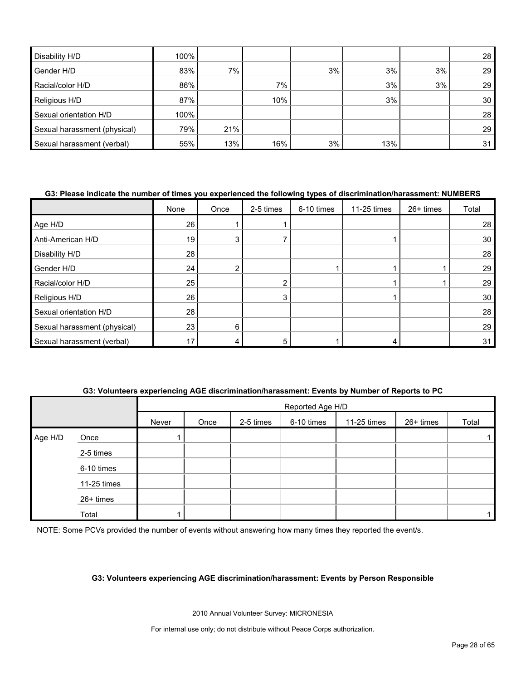| Disability H/D               | 100% |     |     |    |     |    | 28              |
|------------------------------|------|-----|-----|----|-----|----|-----------------|
| Gender H/D                   | 83%  | 7%  |     | 3% | 3%  | 3% | 29 <sub>1</sub> |
| Racial/color H/D             | 86%  |     | 7%  |    | 3%  | 3% | 29              |
| Religious H/D                | 87%  |     | 10% |    | 3%  |    | 30 <sub>1</sub> |
| Sexual orientation H/D       | 100% |     |     |    |     |    | 28              |
| Sexual harassment (physical) | 79%  | 21% |     |    |     |    | 29              |
| Sexual harassment (verbal)   | 55%  | 13% | 16% | 3% | 13% |    | 31              |

#### **G3: Please indicate the number of times you experienced the following types of discrimination/harassment: NUMBERS**

|                              | None | Once           | 2-5 times | 6-10 times | 11-25 times | 26+ times | Total |
|------------------------------|------|----------------|-----------|------------|-------------|-----------|-------|
| Age H/D                      | 26   |                |           |            |             |           | 28    |
| Anti-American H/D            | 19   | 3              |           |            |             |           | 30    |
| Disability H/D               | 28   |                |           |            |             |           | 28    |
| Gender H/D                   | 24   | $\overline{2}$ |           |            |             |           | 29    |
| Racial/color H/D             | 25   |                |           |            |             |           | 29    |
| Religious H/D                | 26   |                |           |            |             |           | 30    |
| Sexual orientation H/D       | 28   |                |           |            |             |           | 28    |
| Sexual harassment (physical) | 23   | 6              |           |            |             |           | 29    |
| Sexual harassment (verbal)   | 17   |                |           |            | 4           |           | 31    |

## **G3: Volunteers experiencing AGE discrimination/harassment: Events by Number of Reports to PC**

|         |             | Reported Age H/D |      |           |            |             |           |       |  |  |
|---------|-------------|------------------|------|-----------|------------|-------------|-----------|-------|--|--|
|         |             | Never            | Once | 2-5 times | 6-10 times | 11-25 times | 26+ times | Total |  |  |
| Age H/D | Once        |                  |      |           |            |             |           |       |  |  |
|         | 2-5 times   |                  |      |           |            |             |           |       |  |  |
|         | 6-10 times  |                  |      |           |            |             |           |       |  |  |
|         | 11-25 times |                  |      |           |            |             |           |       |  |  |
|         | 26+ times   |                  |      |           |            |             |           |       |  |  |
|         | Total       |                  |      |           |            |             |           |       |  |  |

NOTE: Some PCVs provided the number of events without answering how many times they reported the event/s.

#### **G3: Volunteers experiencing AGE discrimination/harassment: Events by Person Responsible**

2010 Annual Volunteer Survey: MICRONESIA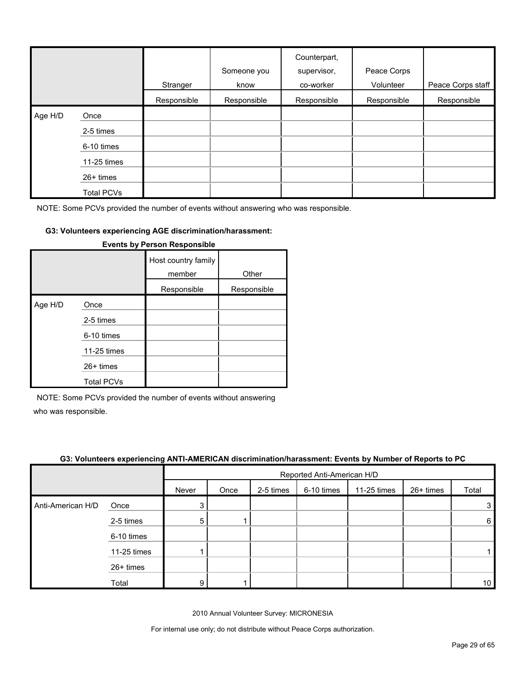|         |                   | Stranger    | Someone you<br>know | Counterpart,<br>supervisor,<br>co-worker | Peace Corps<br>Volunteer | Peace Corps staff |
|---------|-------------------|-------------|---------------------|------------------------------------------|--------------------------|-------------------|
|         |                   | Responsible | Responsible         | Responsible                              | Responsible              | Responsible       |
| Age H/D | Once              |             |                     |                                          |                          |                   |
|         | 2-5 times         |             |                     |                                          |                          |                   |
|         | 6-10 times        |             |                     |                                          |                          |                   |
|         | 11-25 times       |             |                     |                                          |                          |                   |
|         | 26+ times         |             |                     |                                          |                          |                   |
|         | <b>Total PCVs</b> |             |                     |                                          |                          |                   |

#### **G3: Volunteers experiencing AGE discrimination/harassment:**

|         |                   | Host country family<br>member | Other       |
|---------|-------------------|-------------------------------|-------------|
|         |                   | Responsible                   | Responsible |
| Age H/D | Once              |                               |             |
|         | 2-5 times         |                               |             |
|         | 6-10 times        |                               |             |
|         | 11-25 times       |                               |             |
|         | $26+$ times       |                               |             |
|         | <b>Total PCVs</b> |                               |             |

### **Events by Person Responsible**

NOTE: Some PCVs provided the number of events without answering

who was responsible.

|                   | G3: Volunteers experiencing ANTI-AMERICAN discrimination/harassment: Events by Number of Reports to PC |       |                            |           |            |             |             |                 |  |
|-------------------|--------------------------------------------------------------------------------------------------------|-------|----------------------------|-----------|------------|-------------|-------------|-----------------|--|
|                   |                                                                                                        |       | Reported Anti-American H/D |           |            |             |             |                 |  |
|                   |                                                                                                        | Never | Once                       | 2-5 times | 6-10 times | 11-25 times | $26+$ times | Total           |  |
| Anti-American H/D | Once                                                                                                   | 3.    |                            |           |            |             |             | 3               |  |
|                   | 2-5 times                                                                                              | 5     |                            |           |            |             |             | 6               |  |
|                   | 6-10 times                                                                                             |       |                            |           |            |             |             |                 |  |
|                   | 11-25 times                                                                                            |       |                            |           |            |             |             |                 |  |
|                   | 26+ times                                                                                              |       |                            |           |            |             |             |                 |  |
|                   | Total                                                                                                  | 9     |                            |           |            |             |             | 10 <sup>1</sup> |  |

2010 Annual Volunteer Survey: MICRONESIA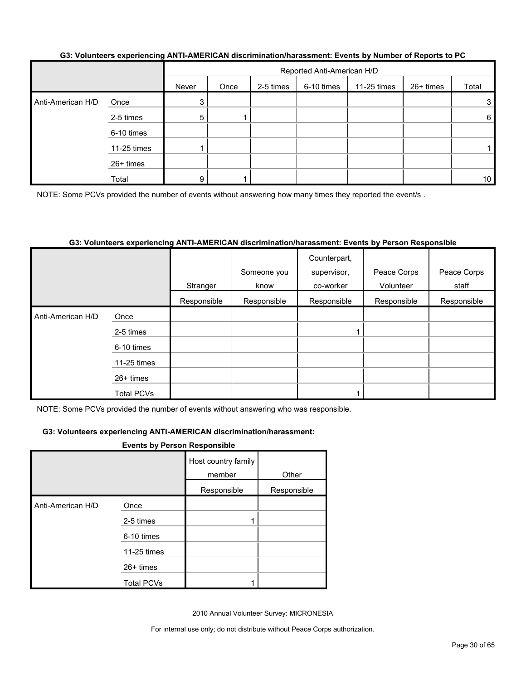| G3: Volunteers experiencing ANTI-AMERICAN discrimination/harassment: Events by Number of Reports to PC |  |
|--------------------------------------------------------------------------------------------------------|--|
|                                                                                                        |  |

|                   |             |       | Reported Anti-American H/D |           |            |             |           |                 |  |  |
|-------------------|-------------|-------|----------------------------|-----------|------------|-------------|-----------|-----------------|--|--|
|                   |             | Never | Once                       | 2-5 times | 6-10 times | 11-25 times | 26+ times | Total           |  |  |
| Anti-American H/D | Once        | 3     |                            |           |            |             |           | 3               |  |  |
|                   | 2-5 times   | 5     |                            |           |            |             |           | 6               |  |  |
|                   | 6-10 times  |       |                            |           |            |             |           |                 |  |  |
|                   | 11-25 times |       |                            |           |            |             |           |                 |  |  |
|                   | 26+ times   |       |                            |           |            |             |           |                 |  |  |
|                   | Total       | q     |                            |           |            |             |           | 10 <sup>1</sup> |  |  |

NOTE: Some PCVs provided the number of events without answering how many times they reported the event/s .

#### **G3: Volunteers experiencing ANTI-AMERICAN discrimination/harassment: Events by Person Responsible**

|                   |             | Stranger    | Someone you<br>know | Counterpart,<br>supervisor,<br>co-worker | Peace Corps<br>Volunteer | Peace Corps<br>staff |
|-------------------|-------------|-------------|---------------------|------------------------------------------|--------------------------|----------------------|
|                   |             | Responsible | Responsible         | Responsible                              | Responsible              | Responsible          |
| Anti-American H/D | Once        |             |                     |                                          |                          |                      |
|                   | 2-5 times   |             |                     |                                          |                          |                      |
|                   | 6-10 times  |             |                     |                                          |                          |                      |
|                   | 11-25 times |             |                     |                                          |                          |                      |
|                   | $26+$ times |             |                     |                                          |                          |                      |
|                   | Total PCVs  |             |                     |                                          |                          |                      |

NOTE: Some PCVs provided the number of events without answering who was responsible.

#### **G3: Volunteers experiencing ANTI-AMERICAN discrimination/harassment:**

#### **Events by Person Responsible**

|                   |                   | Host country family<br>member | Other       |
|-------------------|-------------------|-------------------------------|-------------|
|                   |                   | Responsible                   | Responsible |
| Anti-American H/D | Once              |                               |             |
|                   | 2-5 times         |                               |             |
|                   | 6-10 times        |                               |             |
|                   | 11-25 times       |                               |             |
|                   | $26+$ times       |                               |             |
|                   | <b>Total PCVs</b> |                               |             |

2010 Annual Volunteer Survey: MICRONESIA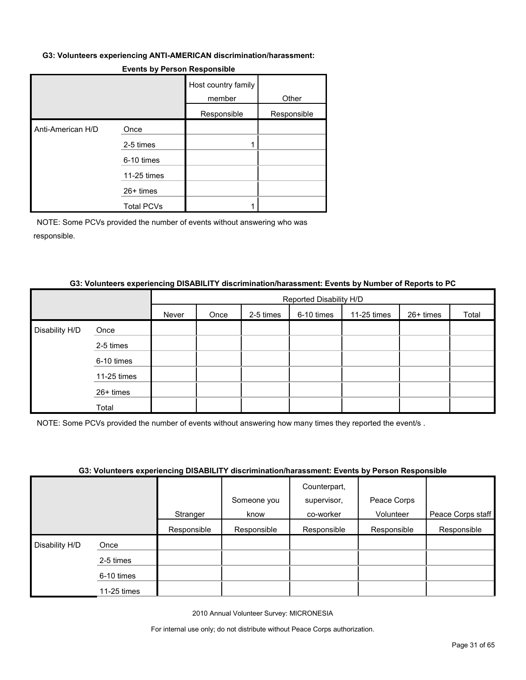#### **G3: Volunteers experiencing ANTI-AMERICAN discrimination/harassment:**

|                   |                   | Host country family<br>member | Other       |
|-------------------|-------------------|-------------------------------|-------------|
|                   |                   | Responsible                   | Responsible |
| Anti-American H/D | Once              |                               |             |
|                   | 2-5 times         |                               |             |
|                   | 6-10 times        |                               |             |
|                   | 11-25 times       |                               |             |
|                   | $26+$ times       |                               |             |
|                   | <b>Total PCVs</b> |                               |             |

#### **Events by Person Responsible**

NOTE: Some PCVs provided the number of events without answering who was responsible.

#### **G3: Volunteers experiencing DISABILITY discrimination/harassment: Events by Number of Reports to PC**

|                |             |       |      |           | Reported Disability H/D |             |           |       |  |  |
|----------------|-------------|-------|------|-----------|-------------------------|-------------|-----------|-------|--|--|
|                |             | Never | Once | 2-5 times | 6-10 times              | 11-25 times | 26+ times | Total |  |  |
| Disability H/D | Once        |       |      |           |                         |             |           |       |  |  |
|                | 2-5 times   |       |      |           |                         |             |           |       |  |  |
|                | 6-10 times  |       |      |           |                         |             |           |       |  |  |
|                | 11-25 times |       |      |           |                         |             |           |       |  |  |
|                | 26+ times   |       |      |           |                         |             |           |       |  |  |
|                | Total       |       |      |           |                         |             |           |       |  |  |

NOTE: Some PCVs provided the number of events without answering how many times they reported the event/s .

#### **G3: Volunteers experiencing DISABILITY discrimination/harassment: Events by Person Responsible**

|                |             |             | <u>aal talaillaala alballailailla siolisseisi luokallillinaalaillin aaalilaillise myttäivän luokallainen </u> |              |             |                   |
|----------------|-------------|-------------|---------------------------------------------------------------------------------------------------------------|--------------|-------------|-------------------|
|                |             |             |                                                                                                               | Counterpart, |             |                   |
|                |             |             | Someone you                                                                                                   | supervisor,  | Peace Corps |                   |
|                |             | Stranger    | know                                                                                                          | co-worker    | Volunteer   | Peace Corps staff |
|                |             | Responsible | Responsible                                                                                                   | Responsible  | Responsible | Responsible       |
| Disability H/D | Once        |             |                                                                                                               |              |             |                   |
|                | 2-5 times   |             |                                                                                                               |              |             |                   |
|                | 6-10 times  |             |                                                                                                               |              |             |                   |
|                | 11-25 times |             |                                                                                                               |              |             |                   |

2010 Annual Volunteer Survey: MICRONESIA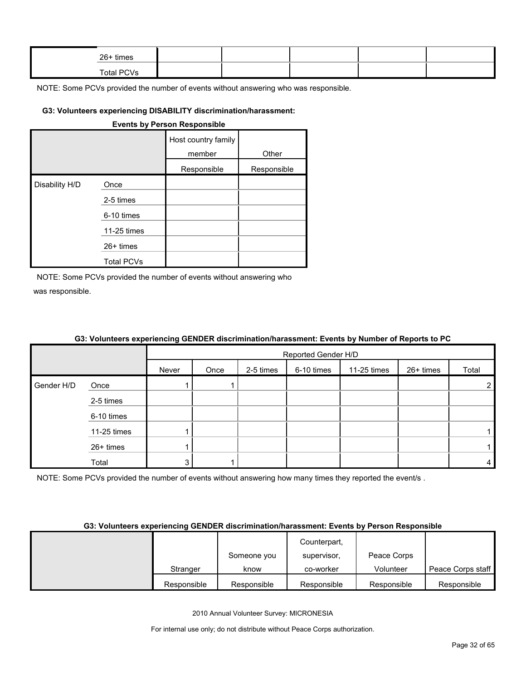| $26+$ times |  |  |  |
|-------------|--|--|--|
| Total PCVs  |  |  |  |

#### **G3: Volunteers experiencing DISABILITY discrimination/harassment:**

|                |                   | <b>Events by Person Responsible</b> |             |
|----------------|-------------------|-------------------------------------|-------------|
|                |                   | Host country family<br>member       | Other       |
|                |                   | Responsible                         | Responsible |
| Disability H/D | Once              |                                     |             |
|                | 2-5 times         |                                     |             |
|                | 6-10 times        |                                     |             |
|                | 11-25 times       |                                     |             |
|                | $26+$ times       |                                     |             |
|                | <b>Total PCVs</b> |                                     |             |

NOTE: Some PCVs provided the number of events without answering who was responsible.

|            |             |       | Reported Gender H/D |           |            |             |           |                |  |
|------------|-------------|-------|---------------------|-----------|------------|-------------|-----------|----------------|--|
|            |             | Never | Once                | 2-5 times | 6-10 times | 11-25 times | 26+ times | Total          |  |
| Gender H/D | Once        |       |                     |           |            |             |           | $\overline{2}$ |  |
|            | 2-5 times   |       |                     |           |            |             |           |                |  |
|            | 6-10 times  |       |                     |           |            |             |           |                |  |
|            | 11-25 times |       |                     |           |            |             |           |                |  |
|            | 26+ times   |       |                     |           |            |             |           |                |  |
|            | Total       |       |                     |           |            |             |           | 4              |  |

## **G3: Volunteers experiencing GENDER discrimination/harassment: Events by Number of Reports to PC**

NOTE: Some PCVs provided the number of events without answering how many times they reported the event/s.

#### **G3: Volunteers experiencing GENDER discrimination/harassment: Events by Person Responsible**

|             |             | Counterpart, |             |                   |
|-------------|-------------|--------------|-------------|-------------------|
|             | Someone you | supervisor,  | Peace Corps |                   |
| Stranger    | know        | co-worker    | Volunteer   | Peace Corps staff |
| Responsible | Responsible | Responsible  | Responsible | Responsible       |

2010 Annual Volunteer Survey: MICRONESIA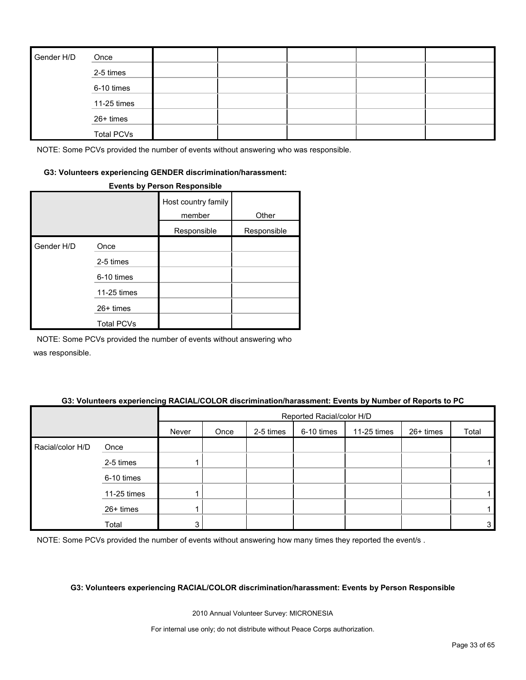| Gender H/D | Once              |  |  |  |
|------------|-------------------|--|--|--|
|            | 2-5 times         |  |  |  |
|            | 6-10 times        |  |  |  |
|            | 11-25 times       |  |  |  |
|            | 26+ times         |  |  |  |
|            | <b>Total PCVs</b> |  |  |  |

#### **G3: Volunteers experiencing GENDER discrimination/harassment:**

#### **Events by Person Responsible**

|            |                   | Host country family<br>member | Other       |
|------------|-------------------|-------------------------------|-------------|
|            |                   | Responsible                   | Responsible |
| Gender H/D | Once              |                               |             |
|            | 2-5 times         |                               |             |
|            | 6-10 times        |                               |             |
|            | 11-25 times       |                               |             |
|            | $26+$ times       |                               |             |
|            | <b>Total PCVs</b> |                               |             |

NOTE: Some PCVs provided the number of events without answering who was responsible.

## **G3: Volunteers experiencing RACIAL/COLOR discrimination/harassment: Events by Number of Reports to PC**

|                  |             |       | Reported Racial/color H/D |           |            |             |           |              |
|------------------|-------------|-------|---------------------------|-----------|------------|-------------|-----------|--------------|
|                  |             | Never | Once                      | 2-5 times | 6-10 times | 11-25 times | 26+ times | Total        |
| Racial/color H/D | Once        |       |                           |           |            |             |           |              |
|                  | 2-5 times   |       |                           |           |            |             |           |              |
|                  | 6-10 times  |       |                           |           |            |             |           |              |
|                  | 11-25 times |       |                           |           |            |             |           |              |
|                  | 26+ times   |       |                           |           |            |             |           |              |
|                  | Total       | ົ     |                           |           |            |             |           | $\mathbf{3}$ |

NOTE: Some PCVs provided the number of events without answering how many times they reported the event/s.

#### **G3: Volunteers experiencing RACIAL/COLOR discrimination/harassment: Events by Person Responsible**

2010 Annual Volunteer Survey: MICRONESIA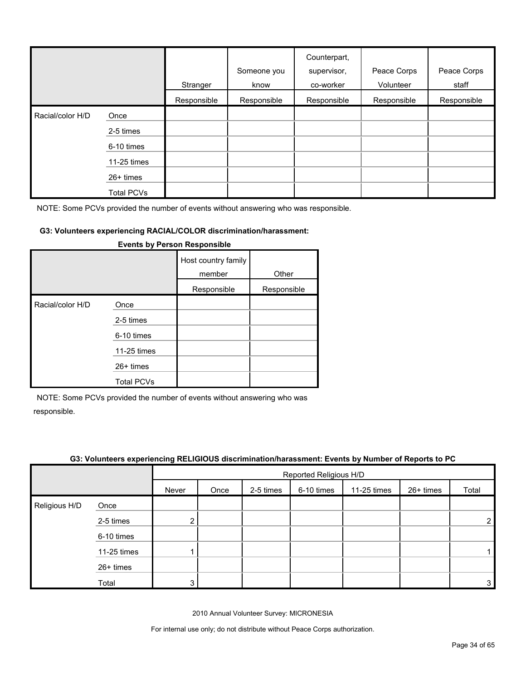|                  |             | Stranger    | Someone you<br>know | Counterpart,<br>supervisor,<br>co-worker | Peace Corps<br>Volunteer | Peace Corps<br>staff |
|------------------|-------------|-------------|---------------------|------------------------------------------|--------------------------|----------------------|
|                  |             | Responsible | Responsible         | Responsible                              | Responsible              | Responsible          |
| Racial/color H/D | Once        |             |                     |                                          |                          |                      |
|                  | 2-5 times   |             |                     |                                          |                          |                      |
|                  | 6-10 times  |             |                     |                                          |                          |                      |
|                  | 11-25 times |             |                     |                                          |                          |                      |
|                  | 26+ times   |             |                     |                                          |                          |                      |
|                  | Total PCVs  |             |                     |                                          |                          |                      |

## **G3: Volunteers experiencing RACIAL/COLOR discrimination/harassment:**

|                  |                   | Host country family<br>member | Other       |
|------------------|-------------------|-------------------------------|-------------|
|                  |                   | Responsible                   | Responsible |
| Racial/color H/D | Once              |                               |             |
|                  | 2-5 times         |                               |             |
|                  | 6-10 times        |                               |             |
|                  | 11-25 times       |                               |             |
|                  | $26+$ times       |                               |             |
|                  | <b>Total PCVs</b> |                               |             |

#### **Events by Person Responsible**

NOTE: Some PCVs provided the number of events without answering who was responsible.

| G3: Volunteers experiencing RELIGIOUS discrimination/harassment: Events by Number of Reports to PC |  |
|----------------------------------------------------------------------------------------------------|--|
|                                                                                                    |  |

|               |             |       | Reported Religious H/D |           |            |             |           |                |
|---------------|-------------|-------|------------------------|-----------|------------|-------------|-----------|----------------|
|               |             | Never | Once                   | 2-5 times | 6-10 times | 11-25 times | 26+ times | Total          |
| Religious H/D | Once        |       |                        |           |            |             |           |                |
|               | 2-5 times   |       |                        |           |            |             |           | $\overline{2}$ |
|               | 6-10 times  |       |                        |           |            |             |           |                |
|               | 11-25 times |       |                        |           |            |             |           |                |
|               | 26+ times   |       |                        |           |            |             |           |                |
|               | Total       | າ     |                        |           |            |             |           | 3 <sub>l</sub> |

2010 Annual Volunteer Survey: MICRONESIA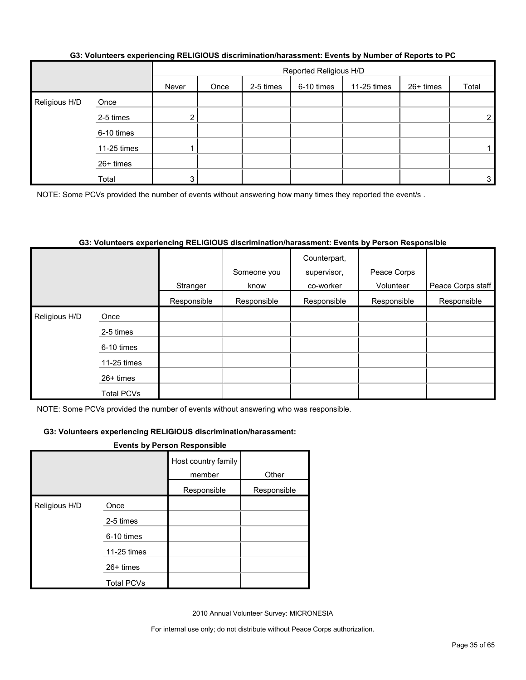|               |             | Reported Religious H/D |      |           |            |             |           |                |
|---------------|-------------|------------------------|------|-----------|------------|-------------|-----------|----------------|
|               |             | Never                  | Once | 2-5 times | 6-10 times | 11-25 times | 26+ times | Total          |
| Religious H/D | Once        |                        |      |           |            |             |           |                |
|               | 2-5 times   | n                      |      |           |            |             |           | $\overline{2}$ |
|               | 6-10 times  |                        |      |           |            |             |           |                |
|               | 11-25 times |                        |      |           |            |             |           |                |
|               | 26+ times   |                        |      |           |            |             |           |                |
|               | Total       | 3 <sub>1</sub>         |      |           |            |             |           | 3              |

#### **G3: Volunteers experiencing RELIGIOUS discrimination/harassment: Events by Number of Reports to PC**

NOTE: Some PCVs provided the number of events without answering how many times they reported the event/s.

#### **G3: Volunteers experiencing RELIGIOUS discrimination/harassment: Events by Person Responsible**

|                    |                   |             | Someone you | Counterpart,<br>supervisor, | Peace Corps |                   |
|--------------------|-------------------|-------------|-------------|-----------------------------|-------------|-------------------|
|                    |                   | Stranger    | know        | co-worker                   | Volunteer   | Peace Corps staff |
|                    |                   | Responsible | Responsible | Responsible                 | Responsible | Responsible       |
| Religious H/D<br>I | Once              |             |             |                             |             |                   |
|                    | 2-5 times         |             |             |                             |             |                   |
|                    | 6-10 times        |             |             |                             |             |                   |
|                    | 11-25 times       |             |             |                             |             |                   |
|                    | 26+ times         |             |             |                             |             |                   |
|                    | <b>Total PCVs</b> |             |             |                             |             |                   |

NOTE: Some PCVs provided the number of events without answering who was responsible.

#### **G3: Volunteers experiencing RELIGIOUS discrimination/harassment:**

#### **Events by Person Responsible**

|               |                   | Host country family<br>member | Other       |
|---------------|-------------------|-------------------------------|-------------|
|               |                   | Responsible                   | Responsible |
| Religious H/D | Once              |                               |             |
|               | 2-5 times         |                               |             |
|               | 6-10 times        |                               |             |
|               | 11-25 times       |                               |             |
|               | $26+$ times       |                               |             |
|               | <b>Total PCVs</b> |                               |             |

2010 Annual Volunteer Survey: MICRONESIA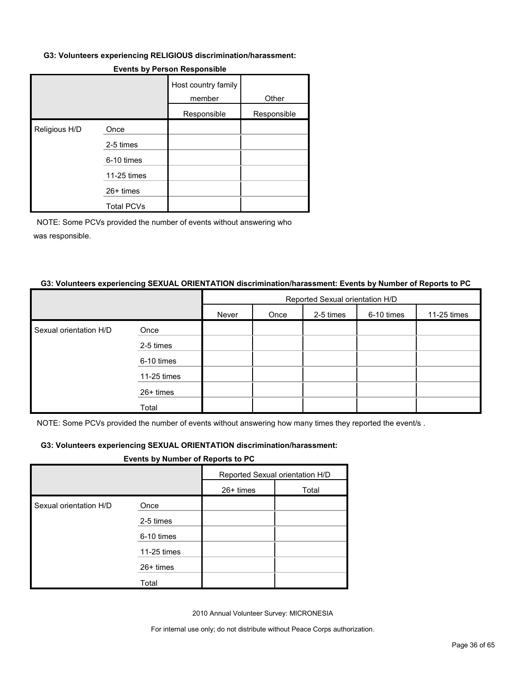#### **G3: Volunteers experiencing RELIGIOUS discrimination/harassment:**

|               |                   | Host country family<br>member | Other       |
|---------------|-------------------|-------------------------------|-------------|
|               |                   | Responsible                   | Responsible |
| Religious H/D | Once              |                               |             |
|               | 2-5 times         |                               |             |
|               | 6-10 times        |                               |             |
|               | 11-25 times       |                               |             |
|               | 26+ times         |                               |             |
|               | <b>Total PCVs</b> |                               |             |

#### **Events by Person Responsible**

NOTE: Some PCVs provided the number of events without answering who was responsible.

#### **G3: Volunteers experiencing SEXUAL ORIENTATION discrimination/harassment: Events by Number of Reports to PC**

|                        |             | Reported Sexual orientation H/D |      |           |            |             |  |
|------------------------|-------------|---------------------------------|------|-----------|------------|-------------|--|
|                        |             | Never                           | Once | 2-5 times | 6-10 times | 11-25 times |  |
| Sexual orientation H/D | Once        |                                 |      |           |            |             |  |
|                        | 2-5 times   |                                 |      |           |            |             |  |
|                        | 6-10 times  |                                 |      |           |            |             |  |
|                        | 11-25 times |                                 |      |           |            |             |  |
|                        | 26+ times   |                                 |      |           |            |             |  |
|                        | Total       |                                 |      |           |            |             |  |

NOTE: Some PCVs provided the number of events without answering how many times they reported the event/s .

#### **G3: Volunteers experiencing SEXUAL ORIENTATION discrimination/harassment:**

#### **Events by Number of Reports to PC**

|                        |             | Reported Sexual orientation H/D |       |
|------------------------|-------------|---------------------------------|-------|
|                        |             | 26+ times                       | Total |
| Sexual orientation H/D | Once        |                                 |       |
|                        | 2-5 times   |                                 |       |
|                        | 6-10 times  |                                 |       |
|                        | 11-25 times |                                 |       |
|                        | 26+ times   |                                 |       |
|                        | Total       |                                 |       |

2010 Annual Volunteer Survey: MICRONESIA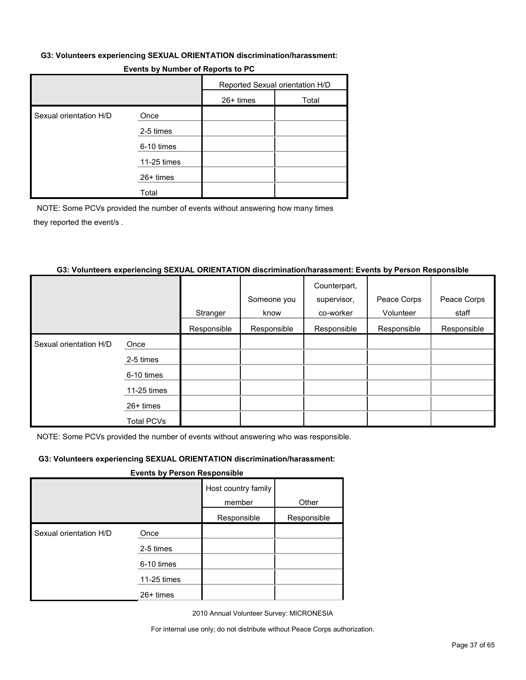#### **G3: Volunteers experiencing SEXUAL ORIENTATION discrimination/harassment:**

| $\blacksquare$         |             |                                 |       |  |  |  |
|------------------------|-------------|---------------------------------|-------|--|--|--|
|                        |             | Reported Sexual orientation H/D |       |  |  |  |
|                        |             | $26+$ times                     | Total |  |  |  |
| Sexual orientation H/D | Once        |                                 |       |  |  |  |
|                        | 2-5 times   |                                 |       |  |  |  |
|                        | 6-10 times  |                                 |       |  |  |  |
|                        | 11-25 times |                                 |       |  |  |  |
|                        | 26+ times   |                                 |       |  |  |  |
|                        | Total       |                                 |       |  |  |  |

## **Events by Number of Reports to PC**

NOTE: Some PCVs provided the number of events without answering how many times they reported the event/s .

#### **G3: Volunteers experiencing SEXUAL ORIENTATION discrimination/harassment: Events by Person Responsible**

|                        |                   |             |             | Counterpart, |             |             |
|------------------------|-------------------|-------------|-------------|--------------|-------------|-------------|
|                        |                   |             | Someone you | supervisor,  | Peace Corps | Peace Corps |
|                        |                   | Stranger    | know        | co-worker    | Volunteer   | staff       |
|                        |                   | Responsible | Responsible | Responsible  | Responsible | Responsible |
| Sexual orientation H/D | Once              |             |             |              |             |             |
|                        | 2-5 times         |             |             |              |             |             |
|                        | 6-10 times        |             |             |              |             |             |
|                        | 11-25 times       |             |             |              |             |             |
|                        | $26+$ times       |             |             |              |             |             |
|                        | <b>Total PCVs</b> |             |             |              |             |             |

NOTE: Some PCVs provided the number of events without answering who was responsible.

#### **G3: Volunteers experiencing SEXUAL ORIENTATION discrimination/harassment:**

#### **Events by Person Responsible**

|                        |             | Host country family<br>member | Other       |
|------------------------|-------------|-------------------------------|-------------|
|                        |             | Responsible                   | Responsible |
| Sexual orientation H/D | Once        |                               |             |
|                        | 2-5 times   |                               |             |
|                        | 6-10 times  |                               |             |
|                        | 11-25 times |                               |             |
|                        | 26+ times   |                               |             |

2010 Annual Volunteer Survey: MICRONESIA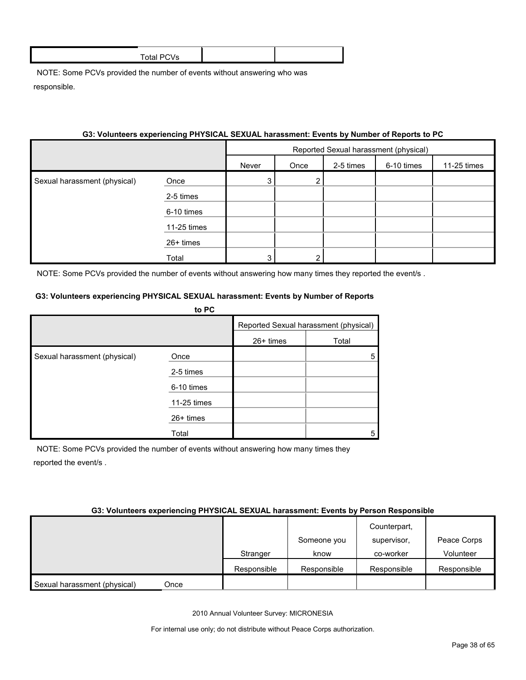#### **G3: Volunteers experiencing PHYSICAL SEXUAL harassment: Events by Number of Reports to PC**

|                              |             | Reported Sexual harassment (physical) |      |           |            |             |
|------------------------------|-------------|---------------------------------------|------|-----------|------------|-------------|
|                              |             | Never                                 | Once | 2-5 times | 6-10 times | 11-25 times |
| Sexual harassment (physical) | Once        | 3                                     |      |           |            |             |
|                              | 2-5 times   |                                       |      |           |            |             |
|                              | 6-10 times  |                                       |      |           |            |             |
|                              | 11-25 times |                                       |      |           |            |             |
|                              | 26+ times   |                                       |      |           |            |             |
|                              | Total       | 3                                     | ົ    |           |            |             |

NOTE: Some PCVs provided the number of events without answering how many times they reported the event/s.

#### **G3: Volunteers experiencing PHYSICAL SEXUAL harassment: Events by Number of Reports**

|                              | to PC       |                                       |       |
|------------------------------|-------------|---------------------------------------|-------|
|                              |             | Reported Sexual harassment (physical) |       |
|                              |             | 26+ times                             | Total |
| Sexual harassment (physical) | Once        |                                       | 5     |
|                              | 2-5 times   |                                       |       |
|                              | 6-10 times  |                                       |       |
|                              | 11-25 times |                                       |       |
|                              | 26+ times   |                                       |       |
|                              | Total       |                                       | 5     |

NOTE: Some PCVs provided the number of events without answering how many times they reported the event/s .

#### **G3: Volunteers experiencing PHYSICAL SEXUAL harassment: Events by Person Responsible**

|                              |      |             | Someone you | Counterpart,<br>supervisor, | Peace Corps |
|------------------------------|------|-------------|-------------|-----------------------------|-------------|
|                              |      | Stranger    | know        | co-worker                   | Volunteer   |
|                              |      | Responsible | Responsible | Responsible                 | Responsible |
| Sexual harassment (physical) | Once |             |             |                             |             |

2010 Annual Volunteer Survey: MICRONESIA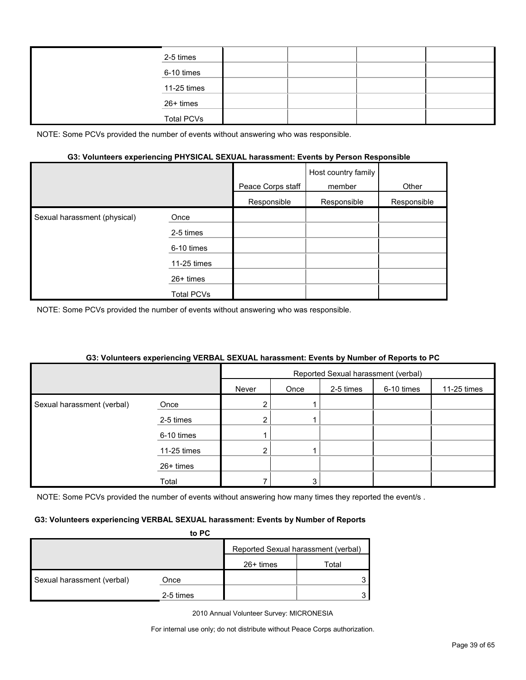| 2-5 times         |  |  |
|-------------------|--|--|
| 6-10 times        |  |  |
| 11-25 times       |  |  |
| 26+ times         |  |  |
| <b>Total PCVs</b> |  |  |

#### **G3: Volunteers experiencing PHYSICAL SEXUAL harassment: Events by Person Responsible**

|                              |                   | Peace Corps staff | Host country family<br>member | Other       |
|------------------------------|-------------------|-------------------|-------------------------------|-------------|
|                              |                   | Responsible       | Responsible                   | Responsible |
| Sexual harassment (physical) | Once              |                   |                               |             |
|                              | 2-5 times         |                   |                               |             |
|                              | 6-10 times        |                   |                               |             |
|                              | 11-25 times       |                   |                               |             |
|                              | $26+$ times       |                   |                               |             |
|                              | <b>Total PCVs</b> |                   |                               |             |

NOTE: Some PCVs provided the number of events without answering who was responsible.

#### **G3: Volunteers experiencing VERBAL SEXUAL harassment: Events by Number of Reports to PC**

|                            |             | Reported Sexual harassment (verbal) |      |           |            |             |
|----------------------------|-------------|-------------------------------------|------|-----------|------------|-------------|
|                            |             | Never                               | Once | 2-5 times | 6-10 times | 11-25 times |
| Sexual harassment (verbal) | Once        |                                     |      |           |            |             |
|                            | 2-5 times   | ŋ                                   |      |           |            |             |
|                            | 6-10 times  |                                     |      |           |            |             |
|                            | 11-25 times | $\overline{2}$                      |      |           |            |             |
|                            | 26+ times   |                                     |      |           |            |             |
|                            | Total       |                                     | 3    |           |            |             |

NOTE: Some PCVs provided the number of events without answering how many times they reported the event/s.

#### **G3: Volunteers experiencing VERBAL SEXUAL harassment: Events by Number of Reports**

|                            | to PC     |                                     |       |  |
|----------------------------|-----------|-------------------------------------|-------|--|
|                            |           | Reported Sexual harassment (verbal) |       |  |
|                            |           | $26+$ times                         | Total |  |
| Sexual harassment (verbal) | Once      |                                     |       |  |
|                            | 2-5 times |                                     |       |  |

2010 Annual Volunteer Survey: MICRONESIA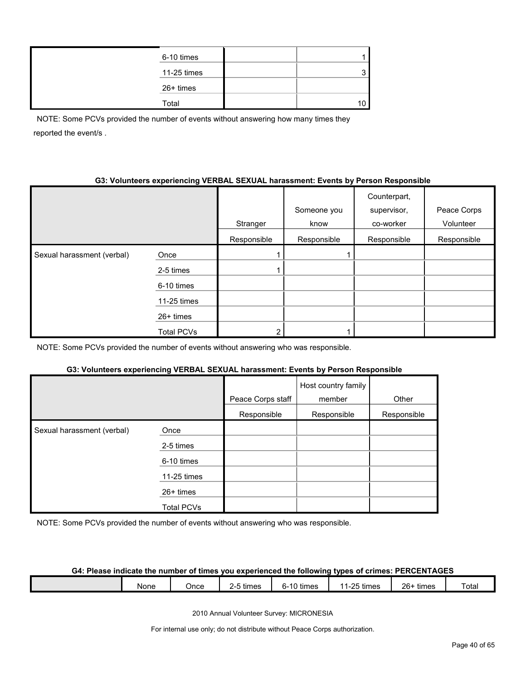| 6-10 times  |  |
|-------------|--|
| 11-25 times |  |
| 26+ times   |  |
| Total       |  |

NOTE: Some PCVs provided the number of events without answering how many times they reported the event/s .

## **G3: Volunteers experiencing VERBAL SEXUAL harassment: Events by Person Responsible**

|                            |                   | Stranger    | Someone you<br>know | Counterpart,<br>supervisor,<br>co-worker | Peace Corps<br>Volunteer |
|----------------------------|-------------------|-------------|---------------------|------------------------------------------|--------------------------|
|                            |                   | Responsible | Responsible         | Responsible                              | Responsible              |
| Sexual harassment (verbal) | Once              |             |                     |                                          |                          |
|                            | 2-5 times         |             |                     |                                          |                          |
|                            | 6-10 times        |             |                     |                                          |                          |
|                            | 11-25 times       |             |                     |                                          |                          |
|                            | 26+ times         |             |                     |                                          |                          |
|                            | <b>Total PCVs</b> | ∩           |                     |                                          |                          |

NOTE: Some PCVs provided the number of events without answering who was responsible.

## **G3: Volunteers experiencing VERBAL SEXUAL harassment: Events by Person Responsible**

|                            |             | Peace Corps staff | Host country family<br>member | Other       |
|----------------------------|-------------|-------------------|-------------------------------|-------------|
|                            |             | Responsible       | Responsible                   | Responsible |
| Sexual harassment (verbal) | Once        |                   |                               |             |
|                            | 2-5 times   |                   |                               |             |
|                            | 6-10 times  |                   |                               |             |
|                            | 11-25 times |                   |                               |             |
|                            | $26+$ times |                   |                               |             |
|                            | Total PCVs  |                   |                               |             |

NOTE: Some PCVs provided the number of events without answering who was responsible.

## **G4: Please indicate the number of times you experienced the following types of crimes: PERCENTAGES**

|  |  | None | Once | - -<br>times<br><u>_</u> | $\sim$<br>$\overline{\phantom{a}}$<br>times<br>-11<br>n-<br>نا ا | ۔ ⊃9۔ ،<br>times<br>л.<br>້ | $26 -$<br>times | <sup>-</sup> otal |
|--|--|------|------|--------------------------|------------------------------------------------------------------|-----------------------------|-----------------|-------------------|
|--|--|------|------|--------------------------|------------------------------------------------------------------|-----------------------------|-----------------|-------------------|

2010 Annual Volunteer Survey: MICRONESIA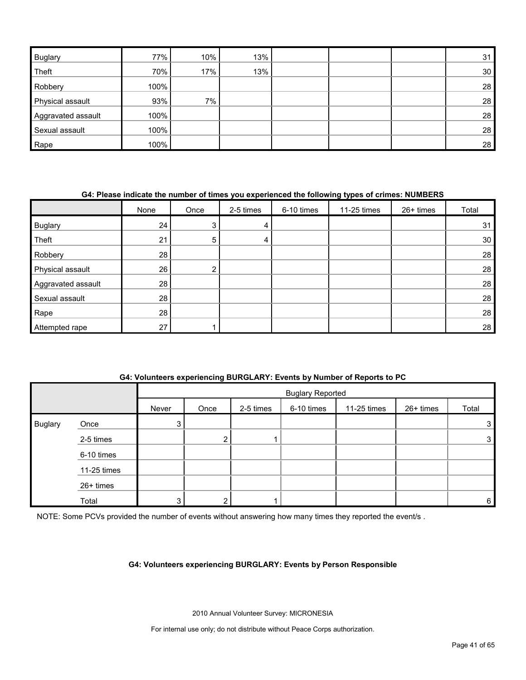| <b>Buglary</b>     | 77%  | 10%   | 13% |  | 31 |
|--------------------|------|-------|-----|--|----|
| Theft              | 70%  | 17%   | 13% |  | 30 |
| Robbery            | 100% |       |     |  | 28 |
| Physical assault   | 93%  | $7\%$ |     |  | 28 |
| Aggravated assault | 100% |       |     |  | 28 |
| Sexual assault     | 100% |       |     |  | 28 |
| Rape               | 100% |       |     |  | 28 |

## **G4: Please indicate the number of times you experienced the following types of crimes: NUMBERS**

|                    | None | Once | 2-5 times | 6-10 times | 11-25 times | 26+ times | Total           |
|--------------------|------|------|-----------|------------|-------------|-----------|-----------------|
| <b>Buglary</b>     | 24   | 3    | 4         |            |             |           | 31              |
| Theft              | 21   | 5    | 4         |            |             |           | 30 <sub>1</sub> |
| Robbery            | 28   |      |           |            |             |           | 28              |
| Physical assault   | 26   | ົ    |           |            |             |           | 28              |
| Aggravated assault | 28   |      |           |            |             |           | 28              |
| Sexual assault     | 28   |      |           |            |             |           | 28              |
| Rape               | 28   |      |           |            |             |           | 28              |
| Attempted rape     | 27   |      |           |            |             |           | 28              |

## **G4: Volunteers experiencing BURGLARY: Events by Number of Reports to PC**

|                |             |                | <b>Buglary Reported</b> |           |            |             |           |       |  |
|----------------|-------------|----------------|-------------------------|-----------|------------|-------------|-----------|-------|--|
|                |             | Never          | Once                    | 2-5 times | 6-10 times | 11-25 times | 26+ times | Total |  |
| <b>Buglary</b> | Once        | 3 <sup>1</sup> |                         |           |            |             |           | 3     |  |
|                | 2-5 times   |                | າ<br>ے                  |           |            |             |           | 3     |  |
|                | 6-10 times  |                |                         |           |            |             |           |       |  |
|                | 11-25 times |                |                         |           |            |             |           |       |  |
|                | 26+ times   |                |                         |           |            |             |           |       |  |
|                | Total       | 3              | ົ                       |           |            |             |           | 6     |  |

NOTE: Some PCVs provided the number of events without answering how many times they reported the event/s.

#### **G4: Volunteers experiencing BURGLARY: Events by Person Responsible**

2010 Annual Volunteer Survey: MICRONESIA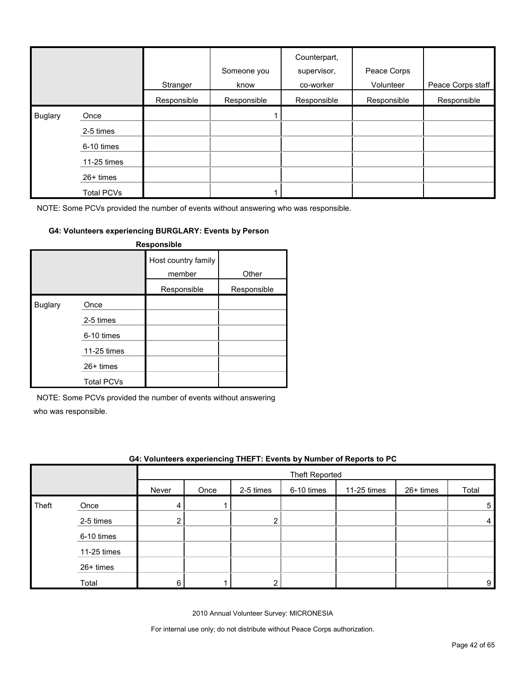|                |                   | Stranger    | Someone you<br>know | Counterpart,<br>supervisor,<br>co-worker | Peace Corps<br>Volunteer | Peace Corps staff |
|----------------|-------------------|-------------|---------------------|------------------------------------------|--------------------------|-------------------|
|                |                   | Responsible | Responsible         | Responsible                              | Responsible              | Responsible       |
| <b>Buglary</b> | Once              |             |                     |                                          |                          |                   |
|                | 2-5 times         |             |                     |                                          |                          |                   |
|                | 6-10 times        |             |                     |                                          |                          |                   |
|                | 11-25 times       |             |                     |                                          |                          |                   |
|                | 26+ times         |             |                     |                                          |                          |                   |
|                | <b>Total PCVs</b> |             |                     |                                          |                          |                   |

## **G4: Volunteers experiencing BURGLARY: Events by Person**

| Responsible    |                   |                               |             |  |  |  |  |  |
|----------------|-------------------|-------------------------------|-------------|--|--|--|--|--|
|                |                   | Host country family<br>member | Other       |  |  |  |  |  |
|                |                   | Responsible                   | Responsible |  |  |  |  |  |
| <b>Buglary</b> | Once              |                               |             |  |  |  |  |  |
|                | 2-5 times         |                               |             |  |  |  |  |  |
|                | 6-10 times        |                               |             |  |  |  |  |  |
|                | 11-25 times       |                               |             |  |  |  |  |  |
|                | $26+$ times       |                               |             |  |  |  |  |  |
|                | <b>Total PCVs</b> |                               |             |  |  |  |  |  |

NOTE: Some PCVs provided the number of events without answering

who was responsible.

|       | G4: Volunteers experiencing THEFT: Events by Number of Reports to PC |       |                       |           |            |             |           |       |  |  |
|-------|----------------------------------------------------------------------|-------|-----------------------|-----------|------------|-------------|-----------|-------|--|--|
|       |                                                                      |       | <b>Theft Reported</b> |           |            |             |           |       |  |  |
|       |                                                                      | Never | Once                  | 2-5 times | 6-10 times | 11-25 times | 26+ times | Total |  |  |
| Theft | Once                                                                 |       |                       |           |            |             |           | 5     |  |  |
|       | 2-5 times                                                            | ⌒     |                       |           |            |             |           |       |  |  |
|       | 6-10 times                                                           |       |                       |           |            |             |           |       |  |  |
|       | 11-25 times                                                          |       |                       |           |            |             |           |       |  |  |
|       | $26+$ times                                                          |       |                       |           |            |             |           |       |  |  |
|       | Total                                                                | 6     |                       |           |            |             |           | 9     |  |  |

2010 Annual Volunteer Survey: MICRONESIA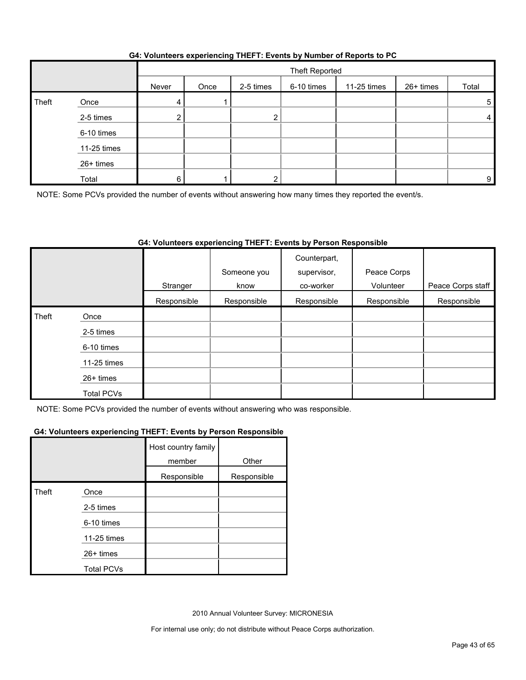| G4: Volunteers experiencing THEFT: Events by Number of Reports to PC |  |  |  |
|----------------------------------------------------------------------|--|--|--|
|                                                                      |  |  |  |

|       |             |       | Theft Reported |           |            |             |           |       |  |
|-------|-------------|-------|----------------|-----------|------------|-------------|-----------|-------|--|
|       |             | Never | Once           | 2-5 times | 6-10 times | 11-25 times | 26+ times | Total |  |
| Theft | Once        | 4     |                |           |            |             |           | 5     |  |
|       | 2-5 times   |       |                |           |            |             |           | 4     |  |
|       | 6-10 times  |       |                |           |            |             |           |       |  |
|       | 11-25 times |       |                |           |            |             |           |       |  |
|       | 26+ times   |       |                |           |            |             |           |       |  |
|       | Total       | ี     |                |           |            |             |           | 9     |  |

NOTE: Some PCVs provided the number of events without answering how many times they reported the event/s.

## **G4: Volunteers experiencing THEFT: Events by Person Responsible**

|       |                   |             | Someone you | Counterpart,<br>supervisor, | Peace Corps |                   |
|-------|-------------------|-------------|-------------|-----------------------------|-------------|-------------------|
|       |                   | Stranger    | know        | co-worker                   | Volunteer   | Peace Corps staff |
|       |                   | Responsible | Responsible | Responsible                 | Responsible | Responsible       |
| Theft | Once              |             |             |                             |             |                   |
|       | 2-5 times         |             |             |                             |             |                   |
|       | 6-10 times        |             |             |                             |             |                   |
|       | 11-25 times       |             |             |                             |             |                   |
|       | 26+ times         |             |             |                             |             |                   |
|       | <b>Total PCVs</b> |             |             |                             |             |                   |

NOTE: Some PCVs provided the number of events without answering who was responsible.

#### **G4: Volunteers experiencing THEFT: Events by Person Responsible**

|       |                   | Host country family<br>member | Other       |
|-------|-------------------|-------------------------------|-------------|
|       |                   | Responsible                   | Responsible |
| Theft | Once              |                               |             |
|       | 2-5 times         |                               |             |
|       | 6-10 times        |                               |             |
|       | 11-25 times       |                               |             |
|       | $26+$ times       |                               |             |
|       | <b>Total PCVs</b> |                               |             |

2010 Annual Volunteer Survey: MICRONESIA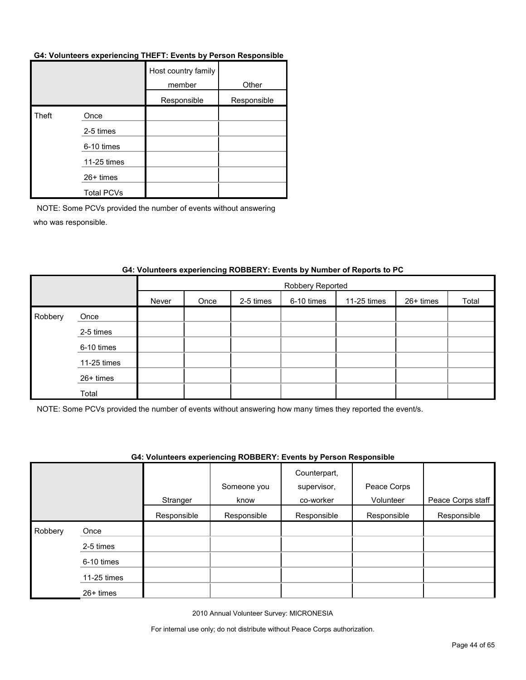#### **G4: Volunteers experiencing THEFT: Events by Person Responsible**

|       |                   | Host country family<br>member | Other       |
|-------|-------------------|-------------------------------|-------------|
|       |                   | Responsible                   | Responsible |
| Theft | Once              |                               |             |
|       | 2-5 times         |                               |             |
|       | 6-10 times        |                               |             |
|       | 11-25 times       |                               |             |
|       | 26+ times         |                               |             |
|       | <b>Total PCVs</b> |                               |             |

NOTE: Some PCVs provided the number of events without answering who was responsible.

|         |             |       | Robbery Reported |           |            |             |           |       |  |
|---------|-------------|-------|------------------|-----------|------------|-------------|-----------|-------|--|
|         |             | Never | Once             | 2-5 times | 6-10 times | 11-25 times | 26+ times | Total |  |
| Robbery | Once        |       |                  |           |            |             |           |       |  |
|         | 2-5 times   |       |                  |           |            |             |           |       |  |
|         | 6-10 times  |       |                  |           |            |             |           |       |  |
|         | 11-25 times |       |                  |           |            |             |           |       |  |
|         | 26+ times   |       |                  |           |            |             |           |       |  |
|         | Total       |       |                  |           |            |             |           |       |  |

## **G4: Volunteers experiencing ROBBERY: Events by Number of Reports to PC**

NOTE: Some PCVs provided the number of events without answering how many times they reported the event/s.

#### **G4: Volunteers experiencing ROBBERY: Events by Person Responsible**

|         |             |             |             | Counterpart, |             |                   |
|---------|-------------|-------------|-------------|--------------|-------------|-------------------|
|         |             |             | Someone you | supervisor,  | Peace Corps |                   |
|         |             | Stranger    | know        | co-worker    | Volunteer   | Peace Corps staff |
|         |             | Responsible | Responsible | Responsible  | Responsible | Responsible       |
| Robbery | Once        |             |             |              |             |                   |
|         | 2-5 times   |             |             |              |             |                   |
|         | 6-10 times  |             |             |              |             |                   |
|         | 11-25 times |             |             |              |             |                   |
|         | 26+ times   |             |             |              |             |                   |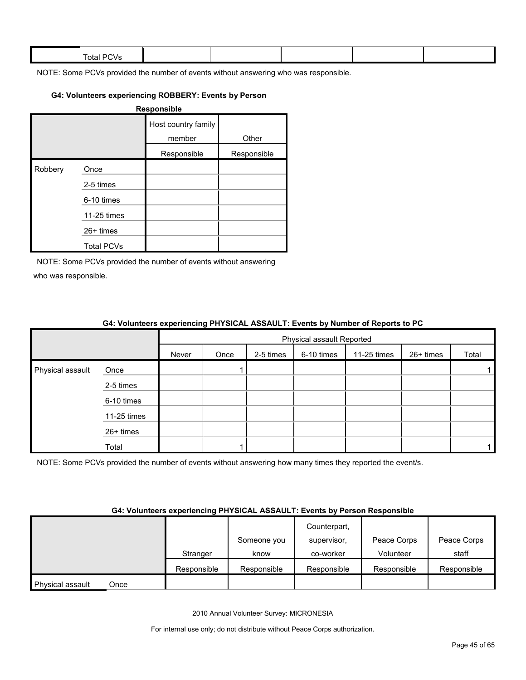| $ -$<br><b>Total PL</b><br>$\mathbf{v}$ |  |  |  |
|-----------------------------------------|--|--|--|
|                                         |  |  |  |

#### **G4: Volunteers experiencing ROBBERY: Events by Person**

|         |                   | Responsible                   |             |
|---------|-------------------|-------------------------------|-------------|
|         |                   | Host country family<br>member | Other       |
|         |                   | Responsible                   | Responsible |
| Robbery | Once              |                               |             |
|         | 2-5 times         |                               |             |
|         | 6-10 times        |                               |             |
|         | 11-25 times       |                               |             |
|         | $26+$ times       |                               |             |
|         | <b>Total PCVs</b> |                               |             |

NOTE: Some PCVs provided the number of events without answering who was responsible.

|                  | 04. VOIDINGERS EXPERIENCING FILLOIGAL ASSAULT. EVENIS BY NUMBER OF NEPOLIS TO FU |       |                           |           |            |             |           |       |  |
|------------------|----------------------------------------------------------------------------------|-------|---------------------------|-----------|------------|-------------|-----------|-------|--|
|                  |                                                                                  |       | Physical assault Reported |           |            |             |           |       |  |
|                  |                                                                                  | Never | Once                      | 2-5 times | 6-10 times | 11-25 times | 26+ times | Total |  |
| Physical assault | Once                                                                             |       |                           |           |            |             |           |       |  |
|                  | 2-5 times                                                                        |       |                           |           |            |             |           |       |  |
|                  | 6-10 times                                                                       |       |                           |           |            |             |           |       |  |
|                  | 11-25 times                                                                      |       |                           |           |            |             |           |       |  |
|                  | 26+ times                                                                        |       |                           |           |            |             |           |       |  |
|                  | Total                                                                            |       |                           |           |            |             |           |       |  |

#### **G4: Volunteers experiencing PHYSICAL ASSAULT: Events by Number of Reports to PC**

NOTE: Some PCVs provided the number of events without answering how many times they reported the event/s.

#### **G4: Volunteers experiencing PHYSICAL ASSAULT: Events by Person Responsible**

|                  |      |             |             | Counterpart, |             |             |
|------------------|------|-------------|-------------|--------------|-------------|-------------|
|                  |      |             | Someone you | supervisor,  | Peace Corps | Peace Corps |
|                  |      | Stranger    | know        | co-worker    | Volunteer   | staff       |
|                  |      | Responsible | Responsible | Responsible  | Responsible | Responsible |
| Physical assault | Once |             |             |              |             |             |

2010 Annual Volunteer Survey: MICRONESIA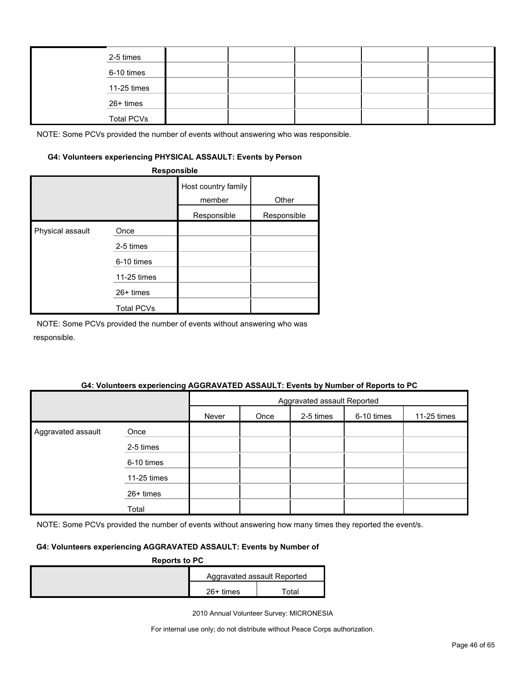|  | 2-5 times         |  |  |  |
|--|-------------------|--|--|--|
|  | 6-10 times        |  |  |  |
|  | 11-25 times       |  |  |  |
|  | 26+ times         |  |  |  |
|  | <b>Total PCVs</b> |  |  |  |

#### **G4: Volunteers experiencing PHYSICAL ASSAULT: Events by Person**

|                  | Responsible       |                               |             |
|------------------|-------------------|-------------------------------|-------------|
|                  |                   | Host country family<br>member | Other       |
|                  |                   | Responsible                   | Responsible |
| Physical assault | Once              |                               |             |
|                  | 2-5 times         |                               |             |
|                  | 6-10 times        |                               |             |
|                  | 11-25 times       |                               |             |
|                  | 26+ times         |                               |             |
|                  | <b>Total PCVs</b> |                               |             |

NOTE: Some PCVs provided the number of events without answering who was responsible.

#### **G4: Volunteers experiencing AGGRAVATED ASSAULT: Events by Number of Reports to PC**

|                    |             | Aggravated assault Reported |      |           |            |             |
|--------------------|-------------|-----------------------------|------|-----------|------------|-------------|
|                    |             | Never                       | Once | 2-5 times | 6-10 times | 11-25 times |
| Aggravated assault | Once        |                             |      |           |            |             |
|                    | 2-5 times   |                             |      |           |            |             |
|                    | 6-10 times  |                             |      |           |            |             |
|                    | 11-25 times |                             |      |           |            |             |
|                    | 26+ times   |                             |      |           |            |             |
|                    | Total       |                             |      |           |            |             |

NOTE: Some PCVs provided the number of events without answering how many times they reported the event/s.

## **G4: Volunteers experiencing AGGRAVATED ASSAULT: Events by Number of**

| <b>Reports to PC</b> |                             |       |  |  |  |  |
|----------------------|-----------------------------|-------|--|--|--|--|
|                      | Aggravated assault Reported |       |  |  |  |  |
|                      | $26+$ times                 | ™otal |  |  |  |  |

2010 Annual Volunteer Survey: MICRONESIA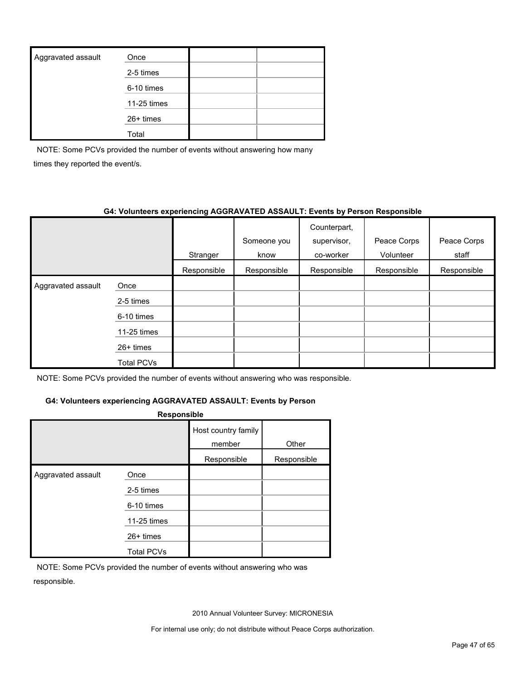| Aggravated assault | Once        |  |
|--------------------|-------------|--|
|                    | 2-5 times   |  |
|                    | 6-10 times  |  |
|                    | 11-25 times |  |
|                    | $26+$ times |  |
|                    | Total       |  |

NOTE: Some PCVs provided the number of events without answering how many times they reported the event/s.

#### **G4: Volunteers experiencing AGGRAVATED ASSAULT: Events by Person Responsible**

|                    |             | Stranger    | Someone you<br>know | Counterpart,<br>supervisor,<br>co-worker | Peace Corps<br>Volunteer | Peace Corps<br>staff |
|--------------------|-------------|-------------|---------------------|------------------------------------------|--------------------------|----------------------|
|                    |             | Responsible | Responsible         | Responsible                              | Responsible              | Responsible          |
| Aggravated assault | Once        |             |                     |                                          |                          |                      |
|                    | 2-5 times   |             |                     |                                          |                          |                      |
|                    | 6-10 times  |             |                     |                                          |                          |                      |
|                    | 11-25 times |             |                     |                                          |                          |                      |
|                    | $26+$ times |             |                     |                                          |                          |                      |
|                    | Total PCVs  |             |                     |                                          |                          |                      |

NOTE: Some PCVs provided the number of events without answering who was responsible.

## **G4: Volunteers experiencing AGGRAVATED ASSAULT: Events by Person**

|                    | Responsible                      |                               |             |
|--------------------|----------------------------------|-------------------------------|-------------|
|                    |                                  | Host country family<br>member | Other       |
|                    |                                  | Responsible                   | Responsible |
| Aggravated assault | Once<br>2-5 times<br>6-10 times  |                               |             |
|                    | 11-25 times                      |                               |             |
|                    | $26+$ times<br><b>Total PCVs</b> |                               |             |

NOTE: Some PCVs provided the number of events without answering who was responsible.

2010 Annual Volunteer Survey: MICRONESIA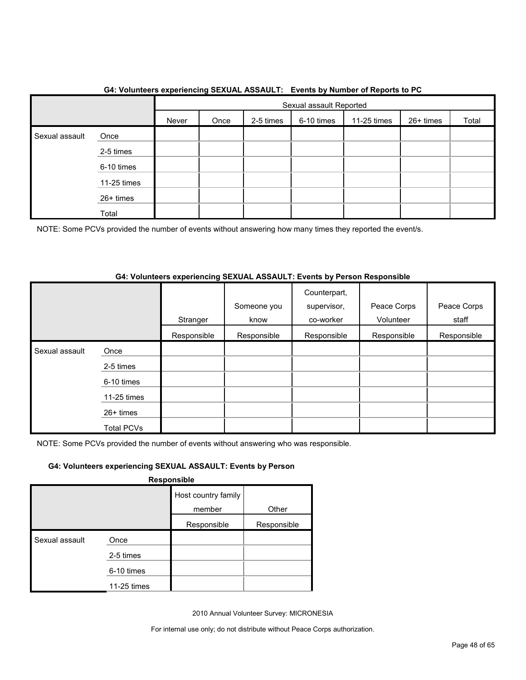|                |             |       | Sexual assault Reported |           |            |             |           |       |
|----------------|-------------|-------|-------------------------|-----------|------------|-------------|-----------|-------|
|                |             | Never | Once                    | 2-5 times | 6-10 times | 11-25 times | 26+ times | Total |
| Sexual assault | Once        |       |                         |           |            |             |           |       |
|                | 2-5 times   |       |                         |           |            |             |           |       |
|                | 6-10 times  |       |                         |           |            |             |           |       |
|                | 11-25 times |       |                         |           |            |             |           |       |
|                | 26+ times   |       |                         |           |            |             |           |       |
|                | Total       |       |                         |           |            |             |           |       |

## **G4: Volunteers experiencing SEXUAL ASSAULT: Events by Number of Reports to PC**

NOTE: Some PCVs provided the number of events without answering how many times they reported the event/s.

## **G4: Volunteers experiencing SEXUAL ASSAULT: Events by Person Responsible**

|                |                   | Stranger    | Someone you<br>know | Counterpart,<br>supervisor,<br>co-worker | Peace Corps<br>Volunteer | Peace Corps<br>staff |
|----------------|-------------------|-------------|---------------------|------------------------------------------|--------------------------|----------------------|
|                |                   | Responsible | Responsible         | Responsible                              | Responsible              | Responsible          |
| Sexual assault | Once              |             |                     |                                          |                          |                      |
|                | 2-5 times         |             |                     |                                          |                          |                      |
|                | 6-10 times        |             |                     |                                          |                          |                      |
|                | 11-25 times       |             |                     |                                          |                          |                      |
|                | $26+$ times       |             |                     |                                          |                          |                      |
|                | <b>Total PCVs</b> |             |                     |                                          |                          |                      |

NOTE: Some PCVs provided the number of events without answering who was responsible.

## **G4: Volunteers experiencing SEXUAL ASSAULT: Events by Person**

**Responsible**

|                |             | Host country family |             |
|----------------|-------------|---------------------|-------------|
|                |             | member              | Other       |
|                |             | Responsible         | Responsible |
| Sexual assault | Once        |                     |             |
|                | 2-5 times   |                     |             |
|                | 6-10 times  |                     |             |
|                | 11-25 times |                     |             |

2010 Annual Volunteer Survey: MICRONESIA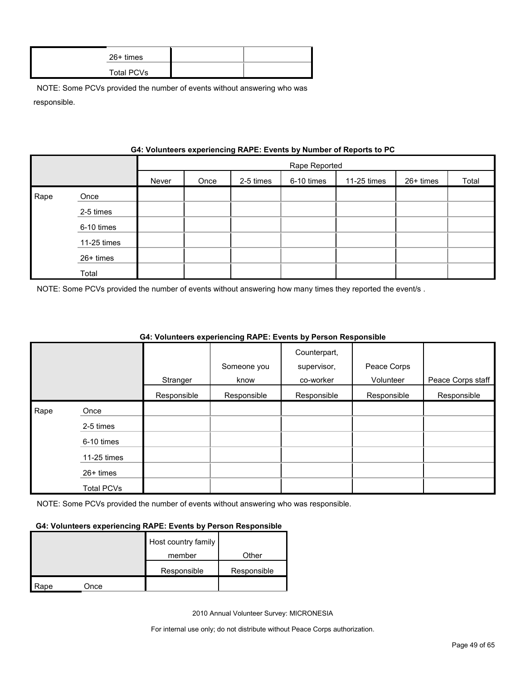| 26+ times  |  |
|------------|--|
| Total PCVs |  |

|      | G4: VOIUNTEER'S EXPERIENCING RAPE: EVENTS by NUMBER OF REPORTS TO PU |       |               |           |            |             |           |       |  |
|------|----------------------------------------------------------------------|-------|---------------|-----------|------------|-------------|-----------|-------|--|
|      |                                                                      |       | Rape Reported |           |            |             |           |       |  |
|      |                                                                      | Never | Once          | 2-5 times | 6-10 times | 11-25 times | 26+ times | Total |  |
| Rape | Once                                                                 |       |               |           |            |             |           |       |  |
|      | 2-5 times                                                            |       |               |           |            |             |           |       |  |
|      | 6-10 times                                                           |       |               |           |            |             |           |       |  |
|      | 11-25 times                                                          |       |               |           |            |             |           |       |  |
|      | 26+ times                                                            |       |               |           |            |             |           |       |  |
|      | Total                                                                |       |               |           |            |             |           |       |  |

**Gynorianoing PADE: Events by Number of Ban** 

NOTE: Some PCVs provided the number of events without answering how many times they reported the event/s .

|      |                   |             |             | Counterpart, |             |                   |
|------|-------------------|-------------|-------------|--------------|-------------|-------------------|
|      |                   |             | Someone you | supervisor,  | Peace Corps |                   |
|      |                   | Stranger    | know        | co-worker    | Volunteer   | Peace Corps staff |
|      |                   | Responsible | Responsible | Responsible  | Responsible | Responsible       |
| Rape | Once              |             |             |              |             |                   |
|      | 2-5 times         |             |             |              |             |                   |
|      | 6-10 times        |             |             |              |             |                   |
|      | 11-25 times       |             |             |              |             |                   |
|      | $26+$ times       |             |             |              |             |                   |
|      | <b>Total PCVs</b> |             |             |              |             |                   |

## **G4: Volunteers experiencing RAPE: Events by Person Responsible**

NOTE: Some PCVs provided the number of events without answering who was responsible.

#### **G4: Volunteers experiencing RAPE: Events by Person Responsible**

|      |      | Host country family |             |
|------|------|---------------------|-------------|
|      |      | member              | Other       |
|      |      | Responsible         | Responsible |
| Rape | Once |                     |             |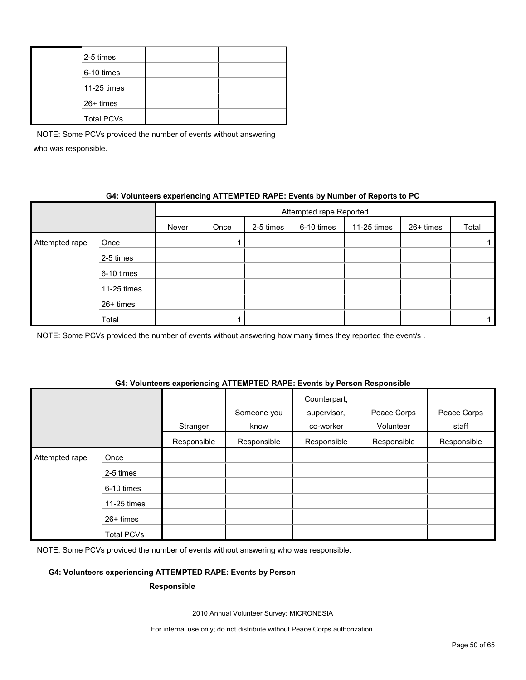| 2-5 times         |  |
|-------------------|--|
| 6-10 times        |  |
| 11-25 times       |  |
| 26+ times         |  |
| <b>Total PCVs</b> |  |

## **G4: Volunteers experiencing ATTEMPTED RAPE: Events by Number of Reports to PC**

|                |             |       | Attempted rape Reported |           |            |             |           |       |  |
|----------------|-------------|-------|-------------------------|-----------|------------|-------------|-----------|-------|--|
|                |             | Never | Once                    | 2-5 times | 6-10 times | 11-25 times | 26+ times | Total |  |
| Attempted rape | Once        |       |                         |           |            |             |           |       |  |
|                | 2-5 times   |       |                         |           |            |             |           |       |  |
|                | 6-10 times  |       |                         |           |            |             |           |       |  |
|                | 11-25 times |       |                         |           |            |             |           |       |  |
|                | 26+ times   |       |                         |           |            |             |           |       |  |
|                | Total       |       |                         |           |            |             |           |       |  |

NOTE: Some PCVs provided the number of events without answering how many times they reported the event/s.

#### **G4: Volunteers experiencing ATTEMPTED RAPE: Events by Person Responsible**

|                |                   |             | Someone you | Counterpart,<br>supervisor, | Peace Corps | Peace Corps |
|----------------|-------------------|-------------|-------------|-----------------------------|-------------|-------------|
|                |                   | Stranger    | know        | co-worker                   | Volunteer   | staff       |
|                |                   | Responsible | Responsible | Responsible                 | Responsible | Responsible |
| Attempted rape | Once              |             |             |                             |             |             |
|                | 2-5 times         |             |             |                             |             |             |
|                | 6-10 times        |             |             |                             |             |             |
|                | 11-25 times       |             |             |                             |             |             |
|                | $26+$ times       |             |             |                             |             |             |
|                | <b>Total PCVs</b> |             |             |                             |             |             |

NOTE: Some PCVs provided the number of events without answering who was responsible.

## **G4: Volunteers experiencing ATTEMPTED RAPE: Events by Person**

#### **Responsible**

2010 Annual Volunteer Survey: MICRONESIA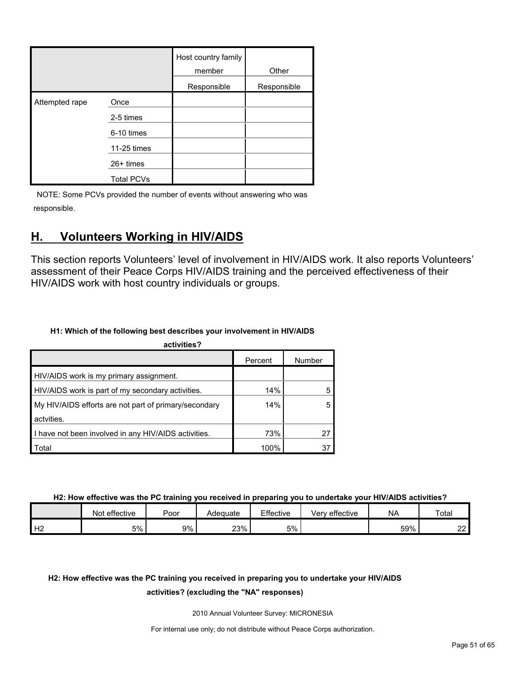|                |                   | Host country family<br>member | Other       |
|----------------|-------------------|-------------------------------|-------------|
|                |                   | Responsible                   | Responsible |
| Attempted rape | Once              |                               |             |
|                | 2-5 times         |                               |             |
|                | 6-10 times        |                               |             |
|                | 11-25 times       |                               |             |
|                | 26+ times         |                               |             |
|                | <b>Total PCVs</b> |                               |             |

## <span id="page-50-0"></span>**H. Volunteers Working in HIV/AIDS**

This section reports Volunteers' level of involvement in HIV/AIDS work. It also reports Volunteers' assessment of their Peace Corps HIV/AIDS training and the perceived effectiveness of their HIV/AIDS work with host country individuals or groups.

## **H1: Which of the following best describes your involvement in HIV/AIDS**

| activities?                                           |         |        |
|-------------------------------------------------------|---------|--------|
|                                                       | Percent | Number |
| HIV/AIDS work is my primary assignment.               |         |        |
| HIV/AIDS work is part of my secondary activities.     | 14%     |        |
| My HIV/AIDS efforts are not part of primary/secondary | 14%     |        |
| actvities.                                            |         |        |
| I have not been involved in any HIV/AIDS activities.  | 73%     | 27     |
| Total                                                 | 100%    | 37     |

**H2: How effective was the PC training you received in preparing you to undertake your HIV/AIDS activities?**

|    | effective<br>Not | Poor | Adequate | Effective | Very effective | <b>NA</b> | Total            |
|----|------------------|------|----------|-----------|----------------|-----------|------------------|
| Н2 | 5%               | 9%   | 23%      | 5%        |                | 59%       | nn.<br><u>__</u> |

## **H2: How effective was the PC training you received in preparing you to undertake your HIV/AIDS**

## **activities? (excluding the "NA" responses)**

2010 Annual Volunteer Survey: MICRONESIA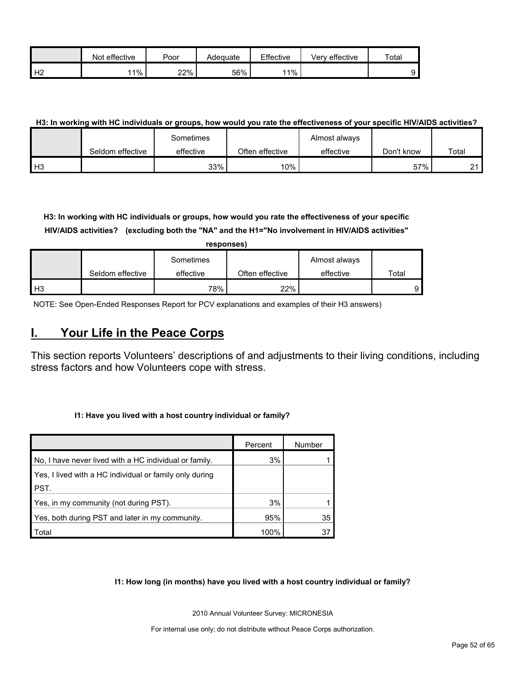|                | effective<br>Not | Poor | Adequate | Effective | Very effective | $\tau$ otar |
|----------------|------------------|------|----------|-----------|----------------|-------------|
| H <sub>2</sub> | $11\%$           | 22%  | 56%      | 11%       |                |             |

## **H3: In working with HC individuals or groups, how would you rate the effectiveness of your specific HIV/AIDS activities?**

|                |                  | Sometimes |                 | Almost always |            |       |
|----------------|------------------|-----------|-----------------|---------------|------------|-------|
|                | Seldom effective | effective | Often effective | effective     | Don't know | Total |
| H <sub>3</sub> |                  | 33%       | $10\%$          |               | 57%        | 21    |

**H3: In working with HC individuals or groups, how would you rate the effectiveness of your specific HIV/AIDS activities? (excluding both the "NA" and the H1="No involvement in HIV/AIDS activities"** 

|       |                  | responses) |                 |               |       |
|-------|------------------|------------|-----------------|---------------|-------|
|       |                  | Sometimes  |                 | Almost always |       |
|       | Seldom effective | effective  | Often effective | effective     | Total |
| $H_3$ |                  | 78%        | 22%             |               |       |

NOTE: See Open-Ended Responses Report for PCV explanations and examples of their H3 answers)

## <span id="page-51-0"></span>**I. Your Life in the Peace Corps**

This section reports Volunteers' descriptions of and adjustments to their living conditions, including stress factors and how Volunteers cope with stress.

#### **I1: Have you lived with a host country individual or family?**

|                                                         | Percent | Number |
|---------------------------------------------------------|---------|--------|
| No, I have never lived with a HC individual or family.  | 3%      |        |
| Yes, I lived with a HC individual or family only during |         |        |
| PST.                                                    |         |        |
| Yes, in my community (not during PST).                  | 3%      |        |
| Yes, both during PST and later in my community.         | 95%     | 35     |
| Total                                                   | 100%    | 37     |

#### **I1: How long (in months) have you lived with a host country individual or family?**

2010 Annual Volunteer Survey: MICRONESIA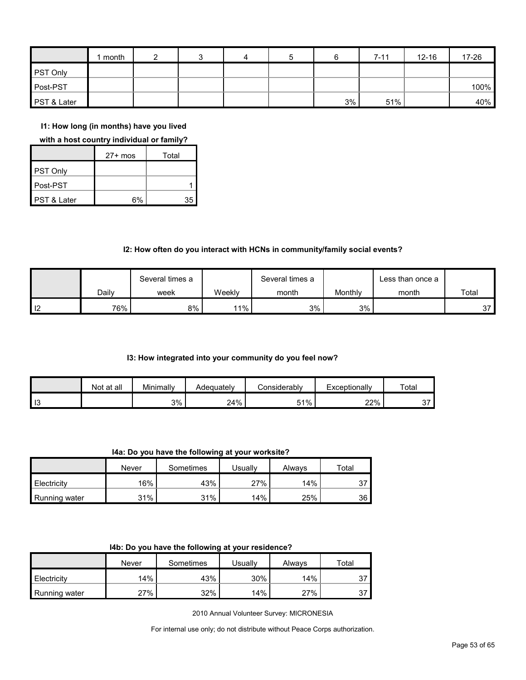|             | month |  | 4 | 5 |    | $7 - 11$ | $12 - 16$ | 17-26 |
|-------------|-------|--|---|---|----|----------|-----------|-------|
| PST Only    |       |  |   |   |    |          |           |       |
| Post-PST    |       |  |   |   |    |          |           | 100%  |
| PST & Later |       |  |   |   | 3% | 51%      |           | 40%   |

**I1: How long (in months) have you lived** 

#### **with a host country individual or family?**

|             | $27+$ mos | Total |
|-------------|-----------|-------|
| PST Only    |           |       |
| Post-PST    |           |       |
| PST & Later | 6%        | 35    |

## **I2: How often do you interact with HCNs in community/family social events?**

|                   |       | Several times a |        | Several times a |         | Less than once a |       |
|-------------------|-------|-----------------|--------|-----------------|---------|------------------|-------|
|                   | Dailv | week            | Weekly | month           | Monthly | month            | Total |
| $\overline{1}$ 12 | 76%   | 8%              | 11%    | 3%              | 3%      |                  | 37    |

#### **I3: How integrated into your community do you feel now?**

|    | Not at all | Minimally | Adeauatelv | :onsiderablv | Exceptionally | Total                     |
|----|------------|-----------|------------|--------------|---------------|---------------------------|
| 13 |            | 3%        | 24%        | 51%          | 22%           | $\sim$ $\rightarrow$<br>ັ |

**I4a: Do you have the following at your worksite?**

|               | Never | Sometimes | Usuallv | Always | $\tau$ otal |
|---------------|-------|-----------|---------|--------|-------------|
| Electricity   | 16%   | 43%       | 27%     | 14%    | 27<br>، ب   |
| Running water | 31%   | 31%       | 14%     | 25%    | 36          |

|                      | Never  | Sometimes | Usuallv | Always | Total     |
|----------------------|--------|-----------|---------|--------|-----------|
| Electricity          | 14%    | 43%       | 30%     | 14%    | 27<br>ັ   |
| <b>Running water</b> | $27\%$ | 32%       | 14%     | 27%    | 27<br>، ب |

2010 Annual Volunteer Survey: MICRONESIA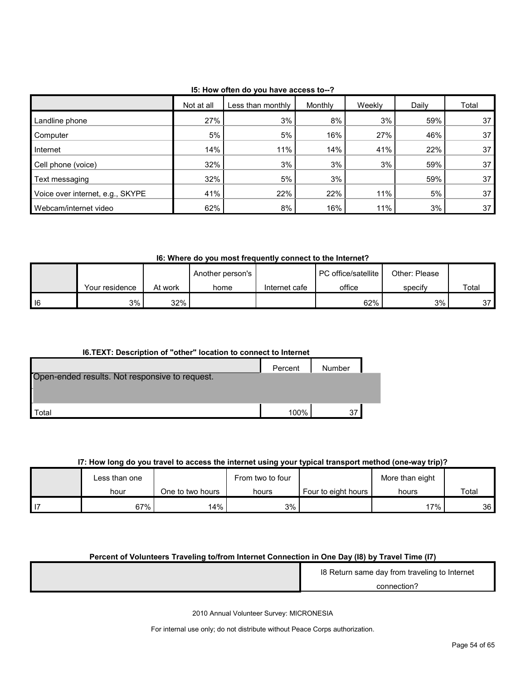|                                  | Not at all | Less than monthly | Monthly | Weekly | Daily | Total |
|----------------------------------|------------|-------------------|---------|--------|-------|-------|
| Landline phone                   | 27%        | 3%                | 8%      | 3%     | 59%   | 37    |
| Computer                         | 5%         | 5%                | 16%     | 27%    | 46%   | 37    |
| Internet                         | 14%        | 11%               | 14%     | 41%    | 22%   | 37    |
| Cell phone (voice)               | 32%        | 3%                | 3%      | 3%     | 59%   | 37    |
| Text messaging                   | 32%        | 5%                | 3%      |        | 59%   | 37    |
| Voice over internet, e.g., SKYPE | 41%        | 22%               | 22%     | 11%    | 5%    | 37    |
| Webcam/internet video            | 62%        | 8%                | 16%     | 11%    | 3%    | 37    |

**I5: How often do you have access to--?**

**I6: Where do you most frequently connect to the Internet?**

|   |                |         | Another person's |               | <b>PC</b> office/satellite | Other: Please |             |
|---|----------------|---------|------------------|---------------|----------------------------|---------------|-------------|
|   | Your residence | At work | home             | Internet cafe | office                     | specify       | $\tau$ otal |
| 6 | 3%             | 32%     |                  |               | 62%                        | 3%            | っっ<br>، ب   |

| <b>I6.TEXT: Description of "other" location to connect to Internet</b> |         |        |  |  |  |
|------------------------------------------------------------------------|---------|--------|--|--|--|
|                                                                        | Percent | Number |  |  |  |
| Open-ended results. Not responsive to request.                         |         |        |  |  |  |
|                                                                        |         |        |  |  |  |
|                                                                        |         |        |  |  |  |
| Total                                                                  | 100%    | 37     |  |  |  |

## **I7: How long do you travel to access the internet using your typical transport method (one-way trip)?**

|    |               |                  | - -              |                     |                 |       |
|----|---------------|------------------|------------------|---------------------|-----------------|-------|
|    | Less than one |                  | From two to four |                     | More than eight |       |
|    | hour          | One to two hours | hours            | Four to eight hours | hours           | Total |
| 17 | 67%           | 14%              | 3%               |                     | 17%             | 36    |

## **Percent of Volunteers Traveling to/from Internet Connection in One Day (I8) by Travel Time (I7)**

| 18 Return same day from traveling to Internet |
|-----------------------------------------------|
| connection?                                   |
|                                               |

2010 Annual Volunteer Survey: MICRONESIA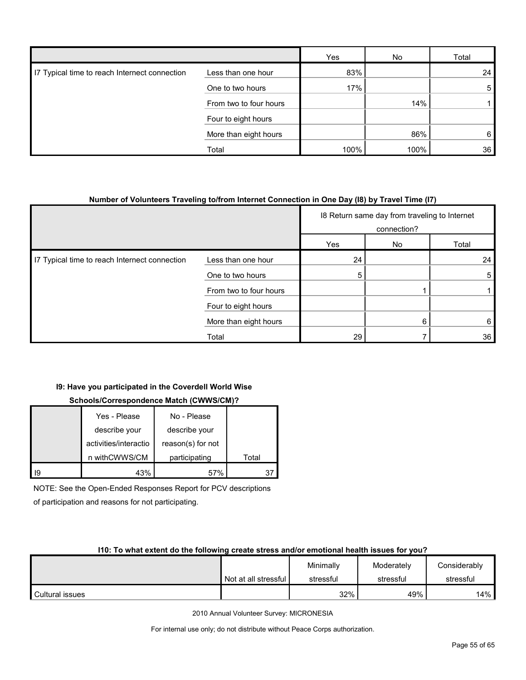|                                               |                        | Yes  | No   | Total |
|-----------------------------------------------|------------------------|------|------|-------|
| 17 Typical time to reach Internect connection | Less than one hour     | 83%  |      | 24    |
|                                               | One to two hours       | 17%  |      | 5     |
|                                               | From two to four hours |      | 14%  |       |
|                                               | Four to eight hours    |      |      |       |
|                                               | More than eight hours  |      | 86%  | 6     |
|                                               | Total                  | 100% | 100% | 36    |

#### **Number of Volunteers Traveling to/from Internet Connection in One Day (I8) by Travel Time (I7)**

|                                               |                        |     | 18 Return same day from traveling to Internet<br>connection? |       |
|-----------------------------------------------|------------------------|-----|--------------------------------------------------------------|-------|
|                                               |                        | Yes | No                                                           | Total |
| I7 Typical time to reach Internect connection | Less than one hour     | 24  |                                                              | 24    |
|                                               | One to two hours       | 5   |                                                              | 5     |
|                                               | From two to four hours |     |                                                              |       |
|                                               | Four to eight hours    |     |                                                              |       |
|                                               | More than eight hours  |     | 6                                                            | 6     |
|                                               | Total                  | 29  |                                                              | 36    |

## **I9: Have you participated in the Coverdell World Wise**

## **Schools/Correspondence Match (CWWS/CM)?**

|    | Yes - Please          | No - Please       |       |
|----|-----------------------|-------------------|-------|
|    | describe your         | describe your     |       |
|    | activities/interactio | reason(s) for not |       |
|    | n withCWWS/CM         | participating     | Total |
| ١q | 43%                   | 57%               |       |

NOTE: See the Open-Ended Responses Report for PCV descriptions

of participation and reasons for not participating.

#### **I10: To what extent do the following create stress and/or emotional health issues for you?**

|                 |                      | Minimally | Moderately | Considerably |
|-----------------|----------------------|-----------|------------|--------------|
|                 | Not at all stressful | stressful | stressful  | stressful    |
| Cultural issues |                      | 32%       | 49%        | 14% l        |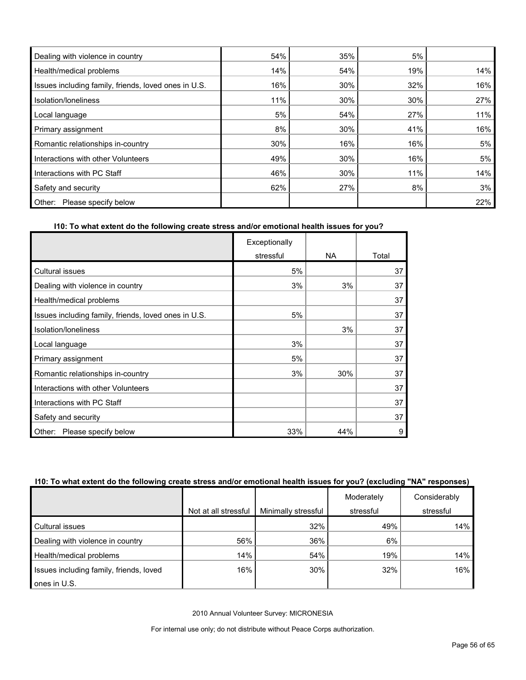| Dealing with violence in country                     | 54% | 35% | 5%  |     |
|------------------------------------------------------|-----|-----|-----|-----|
| Health/medical problems                              | 14% | 54% | 19% | 14% |
| Issues including family, friends, loved ones in U.S. | 16% | 30% | 32% | 16% |
| Isolation/Ioneliness                                 | 11% | 30% | 30% | 27% |
| Local language                                       | 5%  | 54% | 27% | 11% |
| Primary assignment                                   | 8%  | 30% | 41% | 16% |
| Romantic relationships in-country                    | 30% | 16% | 16% | 5%  |
| Interactions with other Volunteers                   | 49% | 30% | 16% | 5%  |
| Interactions with PC Staff                           | 46% | 30% | 11% | 14% |
| Safety and security                                  | 62% | 27% | 8%  | 3%  |
| Please specify below<br>Other:                       |     |     |     | 22% |

## **I10: To what extent do the following create stress and/or emotional health issues for you?**

|                                                      | Exceptionally |     |       |
|------------------------------------------------------|---------------|-----|-------|
|                                                      | stressful     | NA. | Total |
| Cultural issues                                      | 5%            |     | 37    |
| Dealing with violence in country                     | 3%            | 3%  | 37    |
| Health/medical problems                              |               |     | 37    |
| Issues including family, friends, loved ones in U.S. | 5%            |     | 37    |
| Isolation/loneliness                                 |               | 3%  | 37    |
| Local language                                       | 3%            |     | 37    |
| Primary assignment                                   | 5%            |     | 37    |
| Romantic relationships in-country                    | 3%            | 30% | 37    |
| Interactions with other Volunteers                   |               |     | 37    |
| Interactions with PC Staff                           |               |     | 37    |
| Safety and security                                  |               |     | 37    |
| Please specify below<br>Other:                       | 33%           | 44% | 9     |

## **I10: To what extent do the following create stress and/or emotional health issues for you? (excluding "NA" responses)**

|                                         |                      |                     | Moderately | Considerably |
|-----------------------------------------|----------------------|---------------------|------------|--------------|
|                                         | Not at all stressful | Minimally stressful | stressful  | stressful    |
| Cultural issues                         |                      | 32%                 | 49%        | 14%          |
| Dealing with violence in country        | 56%                  | 36%                 | 6%         |              |
| Health/medical problems                 | 14%                  | 54%                 | 19%        | 14%          |
| Issues including family, friends, loved | 16%                  | 30%                 | 32%        | 16%          |
| ones in U.S.                            |                      |                     |            |              |

2010 Annual Volunteer Survey: MICRONESIA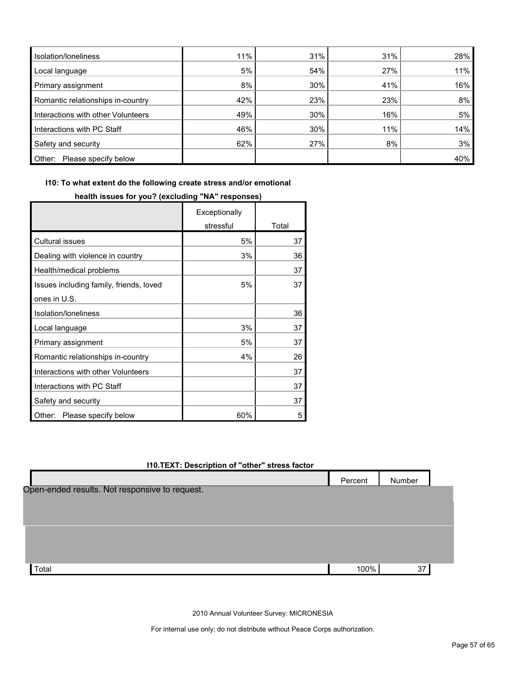| Isolation/Ioneliness               | 11% | 31% | 31% | 28% |
|------------------------------------|-----|-----|-----|-----|
| Local language                     | 5%  | 54% | 27% | 11% |
| Primary assignment                 | 8%  | 30% | 41% | 16% |
| Romantic relationships in-country  | 42% | 23% | 23% | 8%  |
| Interactions with other Volunteers | 49% | 30% | 16% | 5%  |
| Interactions with PC Staff         | 46% | 30% | 11% | 14% |
| Safety and security                | 62% | 27% | 8%  | 3%  |
| Other:<br>Please specify below     |     |     |     | 40% |

**I10: To what extent do the following create stress and/or emotional** 

|                                         | Exceptionally |       |
|-----------------------------------------|---------------|-------|
|                                         | stressful     | Total |
| Cultural issues                         | 5%            | 37    |
| Dealing with violence in country        | 3%            | 36    |
| Health/medical problems                 |               | 37    |
| Issues including family, friends, loved | 5%            | 37    |
| ones in U.S.                            |               |       |
| Isolation/Ioneliness                    |               | 36    |
| Local language                          | 3%            | 37    |
| Primary assignment                      | 5%            | 37    |
| Romantic relationships in-country       | 4%            | 26    |
| Interactions with other Volunteers      |               | 37    |
| Interactions with PC Staff              |               | 37    |
| Safety and security                     |               | 37    |
| Other:<br>Please specify below          | 60%           | 5     |

## **health issues for you? (excluding "NA" responses)**

## **I10.TEXT: Description of "other" stress factor**

|                                                | Percent | Number |  |
|------------------------------------------------|---------|--------|--|
| Open-ended results. Not responsive to request. |         |        |  |
|                                                |         |        |  |
|                                                |         |        |  |
|                                                |         |        |  |
|                                                |         |        |  |
| Total                                          | 100%    | 37     |  |
|                                                |         |        |  |

2010 Annual Volunteer Survey: MICRONESIA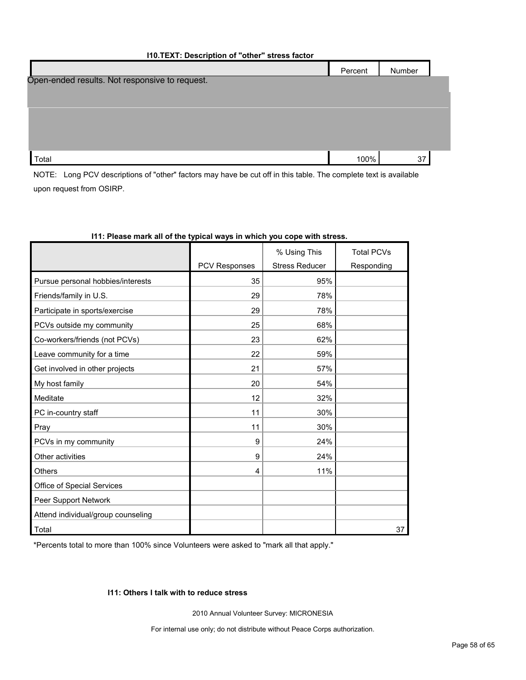#### **I10.TEXT: Description of "other" stress factor**

|                                                | Percent | Number |  |
|------------------------------------------------|---------|--------|--|
| Open-ended results. Not responsive to request. |         |        |  |
|                                                |         |        |  |
|                                                |         |        |  |
|                                                |         |        |  |
|                                                |         |        |  |
| Total                                          | 100%    | 37     |  |

NOTE: Long PCV descriptions of "other" factors may have be cut off in this table. The complete text is available upon request from OSIRP.

|                                    |                      | % Using This          | <b>Total PCVs</b> |
|------------------------------------|----------------------|-----------------------|-------------------|
|                                    | <b>PCV Responses</b> | <b>Stress Reducer</b> | Responding        |
| Pursue personal hobbies/interests  | 35                   | 95%                   |                   |
| Friends/family in U.S.             | 29                   | 78%                   |                   |
| Participate in sports/exercise     | 29                   | 78%                   |                   |
| PCVs outside my community          | 25                   | 68%                   |                   |
| Co-workers/friends (not PCVs)      | 23                   | 62%                   |                   |
| Leave community for a time         | 22                   | 59%                   |                   |
| Get involved in other projects     | 21                   | 57%                   |                   |
| My host family                     | 20                   | 54%                   |                   |
| Meditate                           | 12                   | 32%                   |                   |
| PC in-country staff                | 11                   | 30%                   |                   |
| Pray                               | 11                   | 30%                   |                   |
| PCVs in my community               | 9                    | 24%                   |                   |
| Other activities                   | 9                    | 24%                   |                   |
| <b>Others</b>                      | 4                    | 11%                   |                   |
| Office of Special Services         |                      |                       |                   |
| Peer Support Network               |                      |                       |                   |
| Attend individual/group counseling |                      |                       |                   |
| Total                              |                      |                       | 37                |

#### **I11: Please mark all of the typical ways in which you cope with stress.**

\*Percents total to more than 100% since Volunteers were asked to "mark all that apply."

## **I11: Others I talk with to reduce stress**

2010 Annual Volunteer Survey: MICRONESIA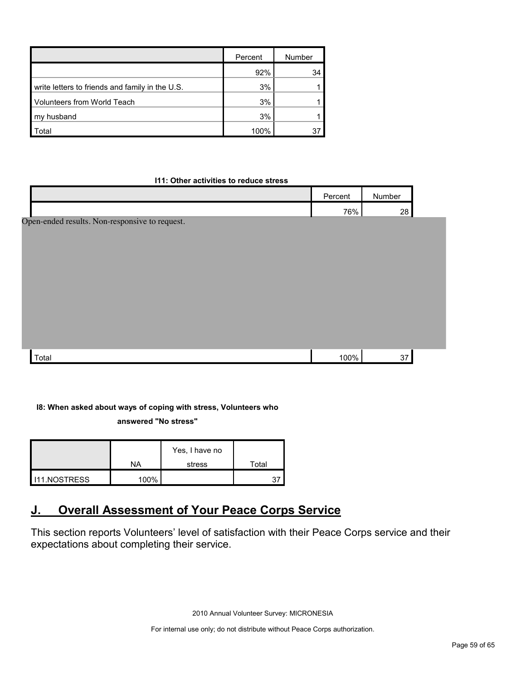|                                                 | Percent | Number |
|-------------------------------------------------|---------|--------|
|                                                 | 92%     | 34     |
| write letters to friends and family in the U.S. | 3%      |        |
| <b>Volunteers from World Teach</b>              | 3%      |        |
| my husband                                      | 3%      |        |
| `otal                                           | 100%    |        |

#### **I11: Other activities to reduce stress**

|                                                | Percent | Number |  |
|------------------------------------------------|---------|--------|--|
|                                                | 76%     | 28     |  |
| Open-ended results. Non-responsive to request. |         |        |  |
| Total                                          | 100%    | 37     |  |

## **I8: When asked about ways of coping with stress, Volunteers who**

**answered "No stress"** 

|              |         | Yes, I have no |       |
|--------------|---------|----------------|-------|
|              | NA      | stress         | Total |
| 111.NOSTRESS | $100\%$ |                |       |

## <span id="page-58-0"></span>**J. Overall Assessment of Your Peace Corps Service**

This section reports Volunteers' level of satisfaction with their Peace Corps service and their expectations about completing their service.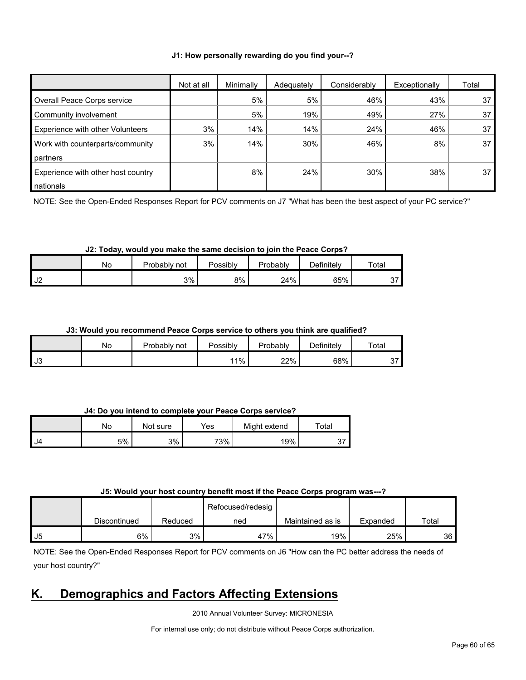#### **J1: How personally rewarding do you find your--?**

|                                    | Not at all | Minimally | Adequately | Considerably | Exceptionally | Total |
|------------------------------------|------------|-----------|------------|--------------|---------------|-------|
| Overall Peace Corps service        |            | 5%        | 5%         | 46%          | 43%           | 37    |
| Community involvement              |            | 5%        | 19%        | 49%          | 27%           | 37    |
| Experience with other Volunteers   | 3%         | 14%       | 14%        | 24%          | 46%           | 37    |
| Work with counterparts/community   | 3%         | 14%       | 30%        | 46%          | 8%            | 37    |
| partners                           |            |           |            |              |               |       |
| Experience with other host country |            | 8%        | 24%        | 30%          | 38%           | 37    |
| nationals                          |            |           |            |              |               |       |

NOTE: See the Open-Ended Responses Report for PCV comments on J7 "What has been the best aspect of your PC service?"

#### **J2: Today, would you make the same decision to join the Peace Corps?**

|               | No. | Probably<br>not | Possibly | Probably | <b>Definitely</b> | Total |
|---------------|-----|-----------------|----------|----------|-------------------|-------|
| רו ו<br>ے ∪ ا |     | 3%              | 8%       | 24%      | 65%               | J.    |

#### **J3: Would you recommend Peace Corps service to others you think are qualified?**

|           | No | Probably<br>not | Possibly | Probably | Definitely | Total   |
|-----------|----|-----------------|----------|----------|------------|---------|
| <b>J3</b> |    |                 | $1\%$    | 22%      | 68%        | ∼<br>J. |

#### **J4: Do you intend to complete your Peace Corps service?**

|       | No | Not sure | Yes | Might extend | Total      |
|-------|----|----------|-----|--------------|------------|
| II J4 | 5% | 3%       | 73% | 19%          | <b>ບ</b> ເ |

#### **J5: Would your host country benefit most if the Peace Corps program was---?**

|    |              |         | Refocused/redesig |                  |          |       |
|----|--------------|---------|-------------------|------------------|----------|-------|
|    | Discontinued | Reduced | ned               | Maintained as is | Expanded | Total |
| J5 | 6%           | 3%      | 47%               | 19%              | 25%      | 36 I  |

NOTE: See the Open-Ended Responses Report for PCV comments on J6 "How can the PC better address the needs of your host country?"

## <span id="page-59-0"></span>**K. Demographics and Factors Affecting Extensions**

2010 Annual Volunteer Survey: MICRONESIA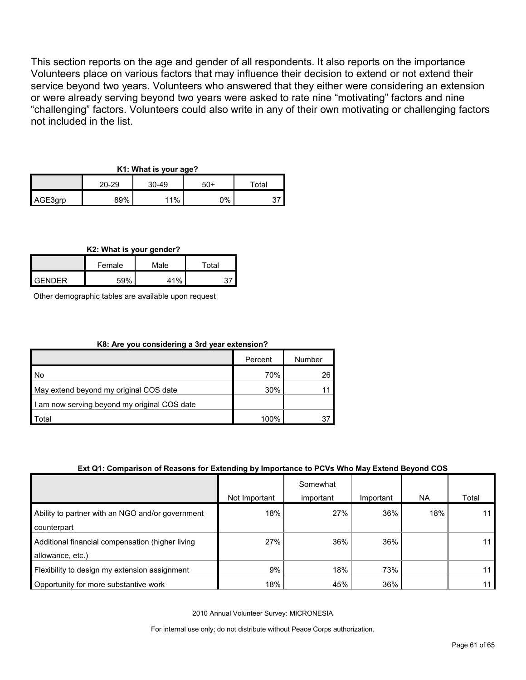This section reports on the age and gender of all respondents. It also reports on the importance Volunteers place on various factors that may influence their decision to extend or not extend their service beyond two years. Volunteers who answered that they either were considering an extension or were already serving beyond two years were asked to rate nine "motivating" factors and nine "challenging" factors. Volunteers could also write in any of their own motivating or challenging factors not included in the list.

## **K1: What is your age?**

|         | 20-29 | $30 - 49$ | 50+ | $\tau$ otal |  |
|---------|-------|-----------|-----|-------------|--|
| AGE3grp | 89%   | 11%       | 0%  |             |  |

#### **K2: What is your gender?**

|               | Female | Male | $\tau$ otal |
|---------------|--------|------|-------------|
| <b>GENDER</b> | 59%    | 41%  |             |

Other demographic tables are available upon request

## **K8: Are you considering a 3rd year extension?**

|                                              | Percent | Number |
|----------------------------------------------|---------|--------|
| l No                                         | 70%     | 26     |
| May extend beyond my original COS date       | 30%     |        |
| I am now serving beyond my original COS date |         |        |
| Total                                        | 100%    |        |

#### **Ext Q1: Comparison of Reasons for Extending by Importance to PCVs Who May Extend Beyond COS**

|                                                                      |               | Somewhat  |           |     |       |
|----------------------------------------------------------------------|---------------|-----------|-----------|-----|-------|
|                                                                      | Not Important | important | Important | NA. | Total |
| Ability to partner with an NGO and/or government<br>counterpart      | 18%           | 27%       | 36%       | 18% | 11    |
| Additional financial compensation (higher living<br>allowance, etc.) | 27%           | 36%       | 36%       |     | 11 I  |
| Flexibility to design my extension assignment                        | 9%            | 18%       | 73%       |     | 11    |
| Opportunity for more substantive work                                | 18%           | 45%       | 36%       |     | 11    |

2010 Annual Volunteer Survey: MICRONESIA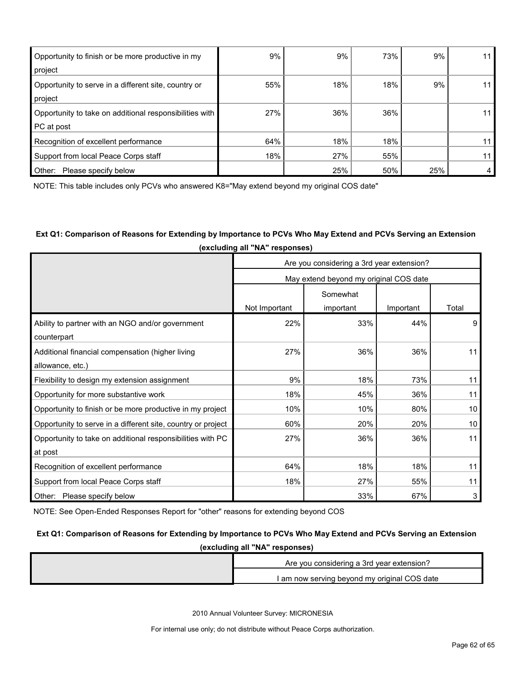| Opportunity to finish or be more productive in my<br>project          | 9%  | 9%  | 73% | 9%  | 11 |
|-----------------------------------------------------------------------|-----|-----|-----|-----|----|
| Opportunity to serve in a different site, country or<br>project       | 55% | 18% | 18% | 9%  | 11 |
| Opportunity to take on additional responsibilities with<br>PC at post | 27% | 36% | 36% |     | 11 |
| Recognition of excellent performance                                  | 64% | 18% | 18% |     | 11 |
| Support from local Peace Corps staff                                  | 18% | 27% | 55% |     | 11 |
| Other:<br>Please specify below                                        |     | 25% | 50% | 25% | 4  |

NOTE: This table includes only PCVs who answered K8="May extend beyond my original COS date"

## **Ext Q1: Comparison of Reasons for Extending by Importance to PCVs Who May Extend and PCVs Serving an Extension (excluding all "NA" responses)**

|                                                              | Are you considering a 3rd year extension? |                                        |           |       |  |
|--------------------------------------------------------------|-------------------------------------------|----------------------------------------|-----------|-------|--|
|                                                              |                                           | May extend beyond my original COS date |           |       |  |
|                                                              |                                           | Somewhat                               |           |       |  |
|                                                              | Not Important                             | important                              | Important | Total |  |
| Ability to partner with an NGO and/or government             | 22%                                       | 33%                                    | 44%       | 9     |  |
| counterpart                                                  |                                           |                                        |           |       |  |
| Additional financial compensation (higher living             | 27%                                       | 36%                                    | 36%       | 11    |  |
| allowance, etc.)                                             |                                           |                                        |           |       |  |
| Flexibility to design my extension assignment                | 9%                                        | 18%                                    | 73%       | 11    |  |
| Opportunity for more substantive work                        | 18%                                       | 45%                                    | 36%       | 11    |  |
| Opportunity to finish or be more productive in my project    | 10%                                       | 10%                                    | 80%       | 10    |  |
| Opportunity to serve in a different site, country or project | 60%                                       | 20%                                    | 20%       | 10    |  |
| Opportunity to take on additional responsibilities with PC   | 27%                                       | 36%                                    | 36%       | 11    |  |
| at post                                                      |                                           |                                        |           |       |  |
| Recognition of excellent performance                         | 64%                                       | 18%                                    | 18%       | 11    |  |
| Support from local Peace Corps staff                         | 18%                                       | 27%                                    | 55%       | 11    |  |
| Other: Please specify below                                  |                                           | 33%                                    | 67%       | 3     |  |

NOTE: See Open-Ended Responses Report for "other" reasons for extending beyond COS

## **Ext Q1: Comparison of Reasons for Extending by Importance to PCVs Who May Extend and PCVs Serving an Extension**

| (excluding all "NA" responses) |                                              |  |  |
|--------------------------------|----------------------------------------------|--|--|
|                                | Are you considering a 3rd year extension?    |  |  |
|                                | I am now serving beyond my original COS date |  |  |

2010 Annual Volunteer Survey: MICRONESIA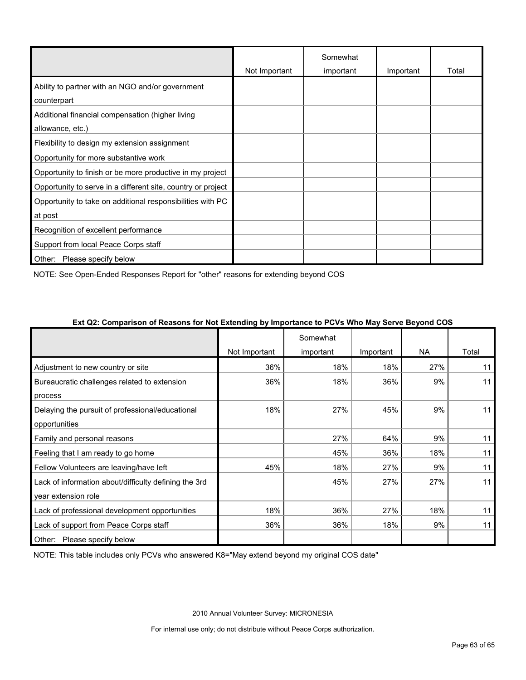|                                                              |               | Somewhat  |           |       |
|--------------------------------------------------------------|---------------|-----------|-----------|-------|
|                                                              | Not Important | important | Important | Total |
| Ability to partner with an NGO and/or government             |               |           |           |       |
| counterpart                                                  |               |           |           |       |
| Additional financial compensation (higher living             |               |           |           |       |
| allowance, etc.)                                             |               |           |           |       |
| Flexibility to design my extension assignment                |               |           |           |       |
| Opportunity for more substantive work                        |               |           |           |       |
| Opportunity to finish or be more productive in my project    |               |           |           |       |
| Opportunity to serve in a different site, country or project |               |           |           |       |
| Opportunity to take on additional responsibilities with PC   |               |           |           |       |
| at post                                                      |               |           |           |       |
| Recognition of excellent performance                         |               |           |           |       |
| Support from local Peace Corps staff                         |               |           |           |       |
| Other:<br>Please specify below                               |               |           |           |       |

NOTE: See Open-Ended Responses Report for "other" reasons for extending beyond COS

|                                                       | Not Important | Somewhat<br>important | Important | <b>NA</b> | Total |
|-------------------------------------------------------|---------------|-----------------------|-----------|-----------|-------|
| Adjustment to new country or site                     | 36%           | 18%                   | 18%       | 27%       | 11    |
| Bureaucratic challenges related to extension          | 36%           | 18%                   | 36%       | 9%        | 11    |
| process                                               |               |                       |           |           |       |
| Delaying the pursuit of professional/educational      | 18%           | 27%                   | 45%       | 9%        | 11    |
| opportunities                                         |               |                       |           |           |       |
| Family and personal reasons                           |               | 27%                   | 64%       | 9%        | 11    |
| Feeling that I am ready to go home                    |               | 45%                   | 36%       | 18%       | 11    |
| Fellow Volunteers are leaving/have left               | 45%           | 18%                   | 27%       | 9%        | 11    |
| Lack of information about/difficulty defining the 3rd |               | 45%                   | 27%       | 27%       | 11    |
| year extension role                                   |               |                       |           |           |       |
| Lack of professional development opportunities        | 18%           | 36%                   | 27%       | 18%       | 11    |
| Lack of support from Peace Corps staff                | 36%           | 36%                   | 18%       | 9%        | 11    |
| Other:<br>Please specify below                        |               |                       |           |           |       |

#### **Ext Q2: Comparison of Reasons for Not Extending by Importance to PCVs Who May Serve Beyond COS**

NOTE: This table includes only PCVs who answered K8="May extend beyond my original COS date"

2010 Annual Volunteer Survey: MICRONESIA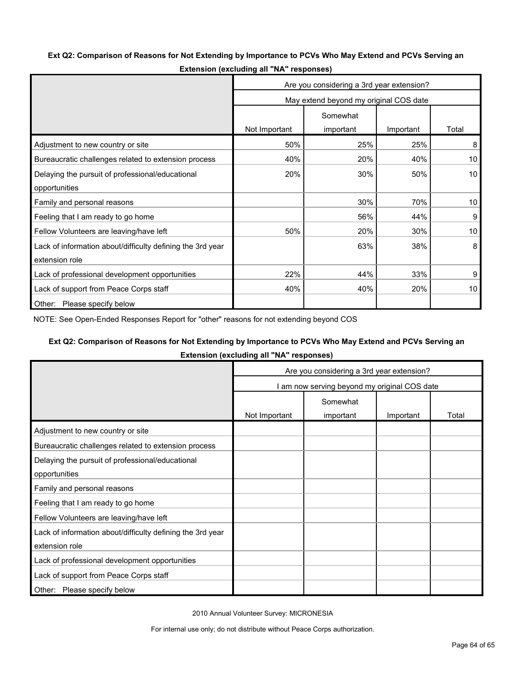### **Ext Q2: Comparison of Reasons for Not Extending by Importance to PCVs Who May Extend and PCVs Serving an**

|                                                            | Are you considering a 3rd year extension? |                                        |           |                 |  |
|------------------------------------------------------------|-------------------------------------------|----------------------------------------|-----------|-----------------|--|
|                                                            |                                           | May extend beyond my original COS date |           |                 |  |
|                                                            |                                           | Somewhat                               |           |                 |  |
|                                                            | Not Important                             | important                              | Important | Total           |  |
| Adjustment to new country or site                          | 50%                                       | 25%                                    | 25%       | 8               |  |
| Bureaucratic challenges related to extension process       | 40%                                       | 20%                                    | 40%       | 10 <sup>°</sup> |  |
| Delaying the pursuit of professional/educational           | 20%                                       | 30%                                    | 50%       | 10 <sup>1</sup> |  |
| opportunities                                              |                                           |                                        |           |                 |  |
| Family and personal reasons                                |                                           | 30%                                    | 70%       | 10 <sup>°</sup> |  |
| Feeling that I am ready to go home                         |                                           | 56%                                    | 44%       | 9               |  |
| Fellow Volunteers are leaving/have left                    | 50%                                       | 20%                                    | 30%       | 10              |  |
| Lack of information about/difficulty defining the 3rd year |                                           | 63%                                    | 38%       | 8               |  |
| extension role                                             |                                           |                                        |           |                 |  |
| Lack of professional development opportunities             | 22%                                       | 44%                                    | 33%       | 9               |  |
| Lack of support from Peace Corps staff                     | 40%                                       | 40%                                    | 20%       | 10              |  |
| Other: Please specify below                                |                                           |                                        |           |                 |  |

**Extension (excluding all "NA" responses)**

NOTE: See Open-Ended Responses Report for "other" reasons for not extending beyond COS

#### **Ext Q2: Comparison of Reasons for Not Extending by Importance to PCVs Who May Extend and PCVs Serving an**

**Extension (excluding all "NA" responses)**

|                                                            | Are you considering a 3rd year extension? |                                              |           |       |  |
|------------------------------------------------------------|-------------------------------------------|----------------------------------------------|-----------|-------|--|
|                                                            |                                           | I am now serving beyond my original COS date |           |       |  |
|                                                            | Somewhat                                  |                                              |           |       |  |
|                                                            | Not Important                             | important                                    | Important | Total |  |
| Adjustment to new country or site                          |                                           |                                              |           |       |  |
| Bureaucratic challenges related to extension process       |                                           |                                              |           |       |  |
| Delaying the pursuit of professional/educational           |                                           |                                              |           |       |  |
| opportunities                                              |                                           |                                              |           |       |  |
| Family and personal reasons                                |                                           |                                              |           |       |  |
| Feeling that I am ready to go home                         |                                           |                                              |           |       |  |
| Fellow Volunteers are leaving/have left                    |                                           |                                              |           |       |  |
| Lack of information about/difficulty defining the 3rd year |                                           |                                              |           |       |  |
| extension role                                             |                                           |                                              |           |       |  |
| Lack of professional development opportunities             |                                           |                                              |           |       |  |
| Lack of support from Peace Corps staff                     |                                           |                                              |           |       |  |
| Please specify below<br>Other:                             |                                           |                                              |           |       |  |